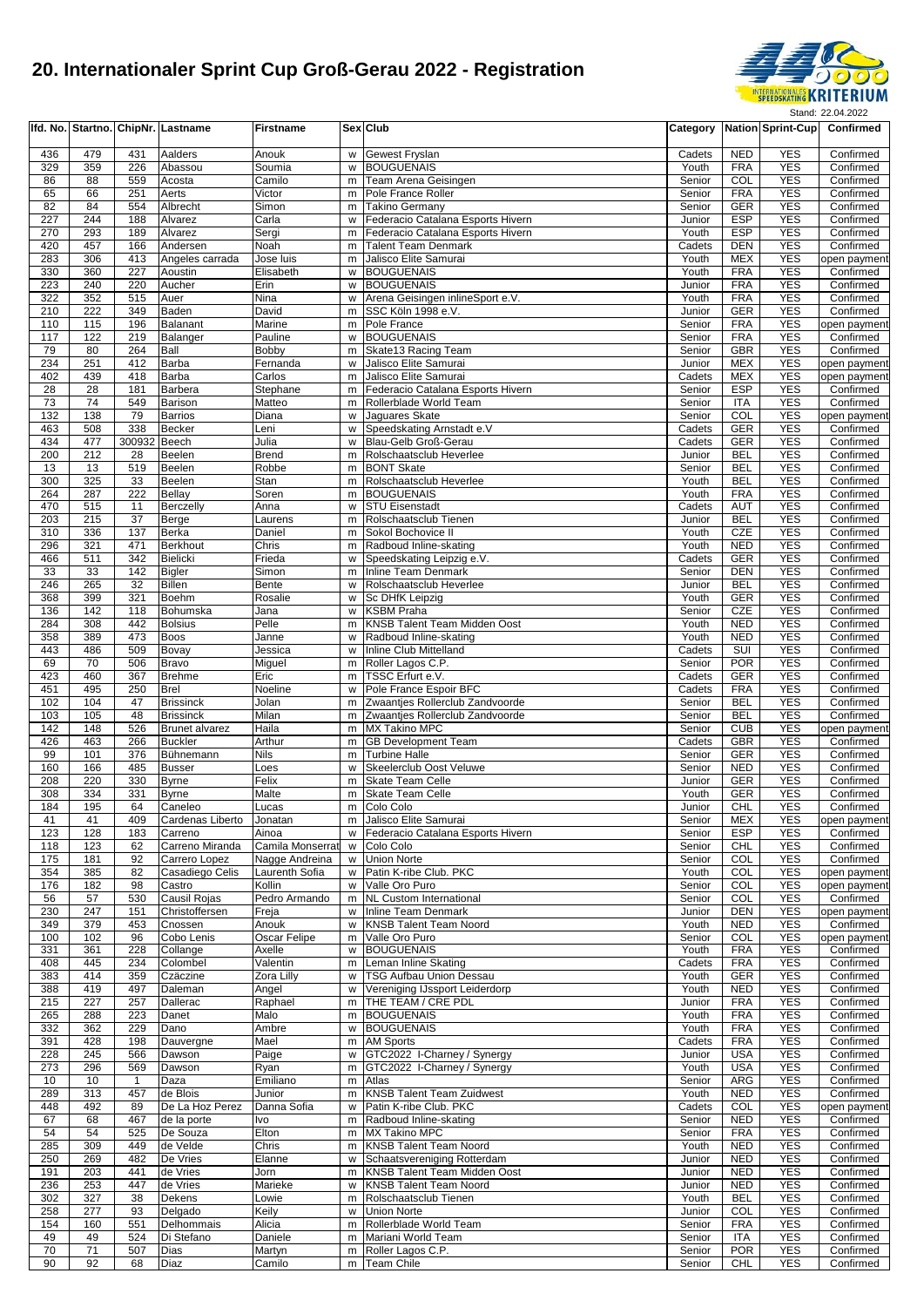

|            |            |                     | Ifd. No. Startno. ChipNr. Lastname | <b>Firstname</b>                   |        | Sex Club                                                      |                  |                          | Category Nation Sprint-Cup | Confirmed                    |
|------------|------------|---------------------|------------------------------------|------------------------------------|--------|---------------------------------------------------------------|------------------|--------------------------|----------------------------|------------------------------|
| 436        | 479        | 431                 | Aalders                            | Anouk                              | w      | Gewest Fryslan                                                | Cadets           | <b>NED</b>               | <b>YES</b>                 | Confirmed                    |
| 329        | 359        | 226                 | Abassou                            | Soumia                             | W      | <b>BOUGUENAIS</b>                                             | Youth            | <b>FRA</b>               | <b>YES</b>                 | Confirmed                    |
| 86         | 88         | 559                 | Acosta                             | Camilo                             | m      | Team Arena Geisingen                                          | Senior           | COL                      | <b>YES</b>                 | Confirmed                    |
| 65<br>82   | 66<br>84   | 251<br>554          | Aerts<br>Albrecht                  | Victor<br>Simon                    | m<br>m | Pole France Roller<br><b>Takino Germany</b>                   | Senior<br>Senior | <b>FRA</b><br><b>GER</b> | <b>YES</b><br><b>YES</b>   | Confirmed<br>Confirmed       |
| 227        | 244        | 188                 | Alvarez                            | Carla                              | W      | Federacio Catalana Esports Hivern                             | Junior           | <b>ESP</b>               | <b>YES</b>                 | Confirmed                    |
| 270        | 293        | 189                 | Alvarez                            | Sergi                              | m      | Federacio Catalana Esports Hivern                             | Youth            | <b>ESP</b>               | <b>YES</b>                 | Confirmed                    |
| 420        | 457        | 166                 | Andersen                           | Noah                               | m      | <b>Talent Team Denmark</b>                                    | Cadets           | <b>DEN</b>               | <b>YES</b>                 | Confirmed                    |
| 283        | 306        | 413                 | Angeles carrada                    | Jose luis                          | m      | Jalisco Elite Samurai                                         | Youth            | <b>MEX</b>               | <b>YES</b>                 | open payment                 |
| 330        | 360        | 227                 | Aoustin                            | Elisabeth                          | w      | <b>BOUGUENAIS</b>                                             | Youth            | <b>FRA</b>               | <b>YES</b>                 | Confirmed                    |
| 223<br>322 | 240<br>352 | 220<br>515          | Aucher<br>Auer                     | Erin<br>Nina                       | W<br>w | <b>BOUGUENAIS</b><br>Arena Geisingen inlineSport e.V.         | Junior<br>Youth  | <b>FRA</b><br><b>FRA</b> | <b>YES</b><br><b>YES</b>   | Confirmed<br>Confirmed       |
| 210        | 222        | 349                 | Baden                              | David                              | m      | SSC Köln 1998 e.V.                                            | Junior           | <b>GER</b>               | <b>YES</b>                 | Confirmed                    |
| 110        | 115        | 196                 | <b>Balanant</b>                    | Marine                             | m      | Pole France                                                   | Senior           | <b>FRA</b>               | <b>YES</b>                 | open payment                 |
| 117        | 122        | 219                 | Balanger                           | Pauline                            | w      | <b>BOUGUENAIS</b>                                             | Senior           | <b>FRA</b>               | <b>YES</b>                 | Confirmed                    |
| 79         | 80         | 264                 | Ball                               | Bobby                              | m      | Skate13 Racing Team                                           | Senior           | <b>GBR</b>               | <b>YES</b>                 | Confirmed                    |
| 234<br>402 | 251<br>439 | 412<br>418          | Barba<br><b>Barba</b>              | Fernanda<br>Carlos                 | w<br>m | Jalisco Elite Samurai<br>Jalisco Elite Samurai                | Junior<br>Cadets | <b>MEX</b><br><b>MEX</b> | <b>YES</b><br><b>YES</b>   | open payment<br>open payment |
| 28         | 28         | 181                 | Barbera                            | Stephane                           | m      | Federacio Catalana Esports Hivern                             | Senior           | <b>ESP</b>               | <b>YES</b>                 | Confirmed                    |
| 73         | 74         | 549                 | Barison                            | Matteo                             |        | m Rollerblade World Team                                      | Senior           | <b>ITA</b>               | <b>YES</b>                 | Confirmed                    |
| 132        | 138        | 79                  | <b>Barrios</b>                     | Diana                              | W      | Jaguares Skate                                                | Senior           | COL                      | <b>YES</b>                 | open payment                 |
| 463        | 508        | 338                 | <b>Becker</b>                      | Leni                               | W      | Speedskating Arnstadt e.V                                     | Cadets           | <b>GER</b>               | <b>YES</b>                 | Confirmed                    |
| 434<br>200 | 477<br>212 | 300932 Beech<br>28  | <b>Beelen</b>                      | Julia<br><b>Brend</b>              | W<br>m | Blau-Gelb Groß-Gerau<br>Rolschaatsclub Heverlee               | Cadets<br>Junior | <b>GER</b><br><b>BEL</b> | <b>YES</b><br><b>YES</b>   | Confirmed<br>Confirmed       |
| 13         | 13         | 519                 | Beelen                             | Robbe                              | m      | <b>BONT Skate</b>                                             | Senior           | <b>BEL</b>               | <b>YES</b>                 | Confirmed                    |
| 300        | 325        | 33                  | <b>Beelen</b>                      | Stan                               | m      | Rolschaatsclub Heverlee                                       | Youth            | <b>BEL</b>               | <b>YES</b>                 | Confirmed                    |
| 264        | 287        | 222                 | <b>Bellay</b>                      | Soren                              | m      | <b>BOUGUENAIS</b>                                             | Youth            | <b>FRA</b>               | <b>YES</b>                 | Confirmed                    |
| 470        | 515        | 11                  | Berczelly                          | Anna                               | W      | <b>STU Eisenstadt</b>                                         | Cadets           | <b>AUT</b>               | <b>YES</b>                 | Confirmed                    |
| 203<br>310 | 215<br>336 | 37<br>137           | Berge<br><b>Berka</b>              | Laurens<br>Daniel                  | m      | Rolschaatsclub Tienen<br>Sokol Bochovice II                   | Junior<br>Youth  | <b>BEL</b><br><b>CZE</b> | <b>YES</b><br><b>YES</b>   | Confirmed<br>Confirmed       |
| 296        | 321        | 471                 | <b>Berkhout</b>                    | Chris                              | m<br>m | Radboud Inline-skating                                        | Youth            | <b>NED</b>               | <b>YES</b>                 | Confirmed                    |
| 466        | 511        | 342                 | <b>Bielicki</b>                    | Frieda                             | w      | Speedskating Leipzig e.V.                                     | Cadets           | <b>GER</b>               | <b>YES</b>                 | Confirmed                    |
| 33         | 33         | 142                 | <b>Bigler</b>                      | Simon                              | m      | <b>Inline Team Denmark</b>                                    | Senior           | <b>DEN</b>               | <b>YES</b>                 | Confirmed                    |
| 246        | 265        | 32                  | <b>Billen</b>                      | Bente                              | w      | Rolschaatsclub Heverlee                                       | Junior           | <b>BEL</b>               | <b>YES</b>                 | Confirmed                    |
| 368        | 399        | 321                 | <b>Boehm</b>                       | Rosalie                            | w      | Sc DHfK Leipzig                                               | Youth            | <b>GER</b>               | <b>YES</b>                 | Confirmed                    |
| 136<br>284 | 142<br>308 | 118<br>442          | Bohumska<br><b>Bolsius</b>         | Jana<br>Pelle                      | W<br>m | <b>KSBM Praha</b><br><b>KNSB Talent Team Midden Oost</b>      | Senior<br>Youth  | CZE<br><b>NED</b>        | <b>YES</b><br><b>YES</b>   | Confirmed<br>Confirmed       |
| 358        | 389        | 473                 | <b>Boos</b>                        | Janne                              | W      | Radboud Inline-skating                                        | Youth            | <b>NED</b>               | <b>YES</b>                 | Confirmed                    |
| 443        | 486        | 509                 | Bovay                              | Jessica                            | W      | Inline Club Mittelland                                        | Cadets           | SUI                      | <b>YES</b>                 | Confirmed                    |
| 69         | 70         | 506                 | <b>Bravo</b>                       | Miguel                             | m      | Roller Lagos C.P.                                             | Senior           | <b>POR</b>               | <b>YES</b>                 | Confirmed                    |
| 423        | 460        | 367                 | <b>Brehme</b>                      | Eric                               | m      | TSSC Erfurt e.V.                                              | Cadets           | GER                      | <b>YES</b>                 | Confirmed                    |
| 451<br>102 | 495<br>104 | 250<br>47           | <b>Brel</b><br><b>Brissinck</b>    | Noeline<br>Jolan                   | W<br>m | Pole France Espoir BFC<br>Zwaantjes Rollerclub Zandvoorde     | Cadets<br>Senior | <b>FRA</b><br><b>BEL</b> | <b>YES</b><br><b>YES</b>   | Confirmed<br>Confirmed       |
| 103        | 105        | 48                  | <b>Brissinck</b>                   | Milan                              | m      | Zwaantjes Rollerclub Zandvoorde                               | Senior           | <b>BEL</b>               | <b>YES</b>                 | Confirmed                    |
| 142        | 148        | 526                 | Brunet alvarez                     | Haila                              | m      | <b>MX Takino MPC</b>                                          | Senior           | <b>CUB</b>               | <b>YES</b>                 | open payment                 |
| 426        | 463        | 266                 | <b>Buckler</b>                     | Arthur                             | m      | <b>GB Development Team</b>                                    | Cadets           | <b>GBR</b>               | <b>YES</b>                 | Confirmed                    |
| 99         | 101        | 376                 | Bühnemann                          | <b>Nils</b>                        | m      | <b>Turbine Halle</b>                                          | Senior           | <b>GER</b>               | <b>YES</b>                 | Confirmed                    |
| 160<br>208 | 166<br>220 | 485<br>330          | <b>Busser</b><br><b>Byrne</b>      | Loes<br>Felix                      | W<br>m | Skeelerclub Oost Veluwe<br><b>Skate Team Celle</b>            | Senior<br>Junior | <b>NED</b><br><b>GER</b> | <b>YES</b><br><b>YES</b>   | Confirmed<br>Confirmed       |
| 308        | 334        | 331                 | <b>Byrne</b>                       | Malte                              | m      | <b>Skate Team Celle</b>                                       | Youth            | <b>GER</b>               | <b>YES</b>                 | Confirmed                    |
| 184        | 195        | 64                  | Caneleo                            | Lucas                              |        | m Colo Colo                                                   | Junior           | <b>CHL</b>               | <b>YES</b>                 | Confirmed                    |
| 41         | 41         | 409                 | Cardenas Liberto                   | Jonatan                            | m      | Jalisco Elite Samurai                                         | Senior           | <b>MEX</b>               | YES                        | open payment                 |
| 123        | 128        | 183                 | Carreno                            | Ainoa                              |        | w Federacio Catalana Esports Hivern                           | Senior           | <b>ESP</b>               | <b>YES</b>                 | Confirmed                    |
| 118<br>175 | 123<br>181 | 62<br>92            | Carreno Miranda<br>Carrero Lopez   | Camila Monserrat<br>Nagge Andreina | W<br>W | Colo Colo<br><b>Union Norte</b>                               | Senior<br>Senior | CHL<br>COL               | <b>YES</b><br><b>YES</b>   | Confirmed<br>Confirmed       |
| 354        | 385        | 82                  | Casadiego Celis                    | Laurenth Sofia                     | w      | Patin K-ribe Club. PKC                                        | Youth            | COL                      | <b>YES</b>                 | open payment                 |
| 176        | 182        | 98                  | Castro                             | Kollin                             | w      | Valle Oro Puro                                                | Senior           | COL                      | <b>YES</b>                 | open payment                 |
| 56         | 57         | 530                 | <b>Causil Rojas</b>                | Pedro Armando                      | m      | <b>NL Custom International</b>                                | Senior           | COL                      | <b>YES</b>                 | Confirmed                    |
| 230        | 247        | 151                 | Christoffersen                     | Freja                              | w      | Inline Team Denmark                                           | Junior           | <b>DEN</b>               | <b>YES</b>                 | open payment                 |
| 349<br>100 | 379<br>102 | 453<br>96           | Cnossen<br>Cobo Lenis              | Anouk<br>Oscar Felipe              | w<br>m | <b>KNSB Talent Team Noord</b><br>Valle Oro Puro               | Youth<br>Senior  | <b>NED</b><br><b>COL</b> | <b>YES</b><br><b>YES</b>   | Confirmed<br>open payment    |
| 331        | 361        | 228                 | Collange                           | Axelle                             | w      | <b>BOUGUENAIS</b>                                             | Youth            | <b>FRA</b>               | <b>YES</b>                 | Confirmed                    |
| 408        | 445        | 234                 | Colombel                           | Valentin                           | m      | Leman Inline Skating                                          | Cadets           | <b>FRA</b>               | <b>YES</b>                 | Confirmed                    |
| 383        | 414        | 359                 | Czäczine                           | Zora Lilly                         | W      | <b>TSG Aufbau Union Dessau</b>                                | Youth            | <b>GER</b>               | <b>YES</b>                 | Confirmed                    |
| 388<br>215 | 419<br>227 | 497<br>257          | Daleman<br>Dallerac                | Angel<br>Raphael                   | w<br>m | Vereniging IJssport Leiderdorp<br>THE TEAM / CRE PDL          | Youth<br>Junior  | <b>NED</b><br><b>FRA</b> | <b>YES</b><br><b>YES</b>   | Confirmed<br>Confirmed       |
| 265        | 288        | 223                 | Danet                              | Malo                               | m      | <b>BOUGUENAIS</b>                                             | Youth            | <b>FRA</b>               | <b>YES</b>                 | Confirmed                    |
| 332        | 362        | 229                 | Dano                               | Ambre                              |        | w BOUGUENAIS                                                  | Youth            | <b>FRA</b>               | <b>YES</b>                 | Confirmed                    |
| 391        | 428        | 198                 | Dauvergne                          | Mael                               |        | m AM Sports                                                   | Cadets           | <b>FRA</b>               | <b>YES</b>                 | Confirmed                    |
| 228        | 245        | 566                 | Dawson                             | Paige                              | w      | GTC2022 I-Charney / Synergy                                   | Junior           | <b>USA</b>               | <b>YES</b>                 | Confirmed                    |
| 273<br>10  | 296<br>10  | 569                 | Dawson                             | Ryan                               | m      | GTC2022 I-Charney / Synergy<br>Atlas                          | Youth<br>Senior  | <b>USA</b><br>ARG        | <b>YES</b><br><b>YES</b>   | Confirmed<br>Confirmed       |
| 289        | 313        | $\mathbf{1}$<br>457 | Daza<br>de Blois                   | Emiliano<br>Junior                 | m<br>m | <b>KNSB Talent Team Zuidwest</b>                              | Youth            | <b>NED</b>               | <b>YES</b>                 | Confirmed                    |
| 448        | 492        | 89                  | De La Hoz Perez                    | Danna Sofia                        |        | w Patin K-ribe Club. PKC                                      | Cadets           | COL                      | <b>YES</b>                 | open payment                 |
| 67         | 68         | 467                 | de la porte                        | Ivo                                |        | m Radboud Inline-skating                                      | Senior           | <b>NED</b>               | <b>YES</b>                 | Confirmed                    |
| 54         | 54         | 525                 | De Souza                           | Elton                              |        | m MX Takino MPC                                               | Senior           | <b>FRA</b>               | <b>YES</b>                 | Confirmed                    |
| 285        | 309        | 449                 | de Velde                           | Chris                              | m      | <b>KNSB Talent Team Noord</b>                                 | Youth            | <b>NED</b>               | <b>YES</b>                 | Confirmed                    |
| 250<br>191 | 269<br>203 | 482<br>441          | De Vries<br>de Vries               | Elanne<br>Jorn                     | w      | Schaatsvereniging Rotterdam<br>m KNSB Talent Team Midden Oost | Junior<br>Junior | <b>NED</b><br><b>NED</b> | <b>YES</b><br><b>YES</b>   | Confirmed<br>Confirmed       |
| 236        | 253        | 447                 | de Vries                           | Marieke                            | W      | <b>KNSB Talent Team Noord</b>                                 | Junior           | <b>NED</b>               | <b>YES</b>                 | Confirmed                    |
| 302        | 327        | 38                  | Dekens                             | Lowie                              | m      | Rolschaatsclub Tienen                                         | Youth            | <b>BEL</b>               | <b>YES</b>                 | Confirmed                    |
| 258        | 277        | 93                  | Delgado                            | Keily                              | w      | <b>Union Norte</b>                                            | Junior           | COL                      | <b>YES</b>                 | Confirmed                    |
| 154        | 160        | 551                 | Delhommais                         | Alicia                             |        | m Rollerblade World Team<br>m Mariani World Team              | Senior           | <b>FRA</b>               | <b>YES</b><br><b>YES</b>   | Confirmed                    |
| 49<br>70   | 49<br>71   | 524<br>507          | Di Stefano<br>Dias                 | Daniele<br>Martyn                  |        | m Roller Lagos C.P.                                           | Senior<br>Senior | ITA<br><b>POR</b>        | <b>YES</b>                 | Confirmed<br>Confirmed       |
| 90         | 92         | 68                  | Diaz                               | Camilo                             |        | m Team Chile                                                  | Senior           | <b>CHL</b>               | <b>YES</b>                 | Confirmed                    |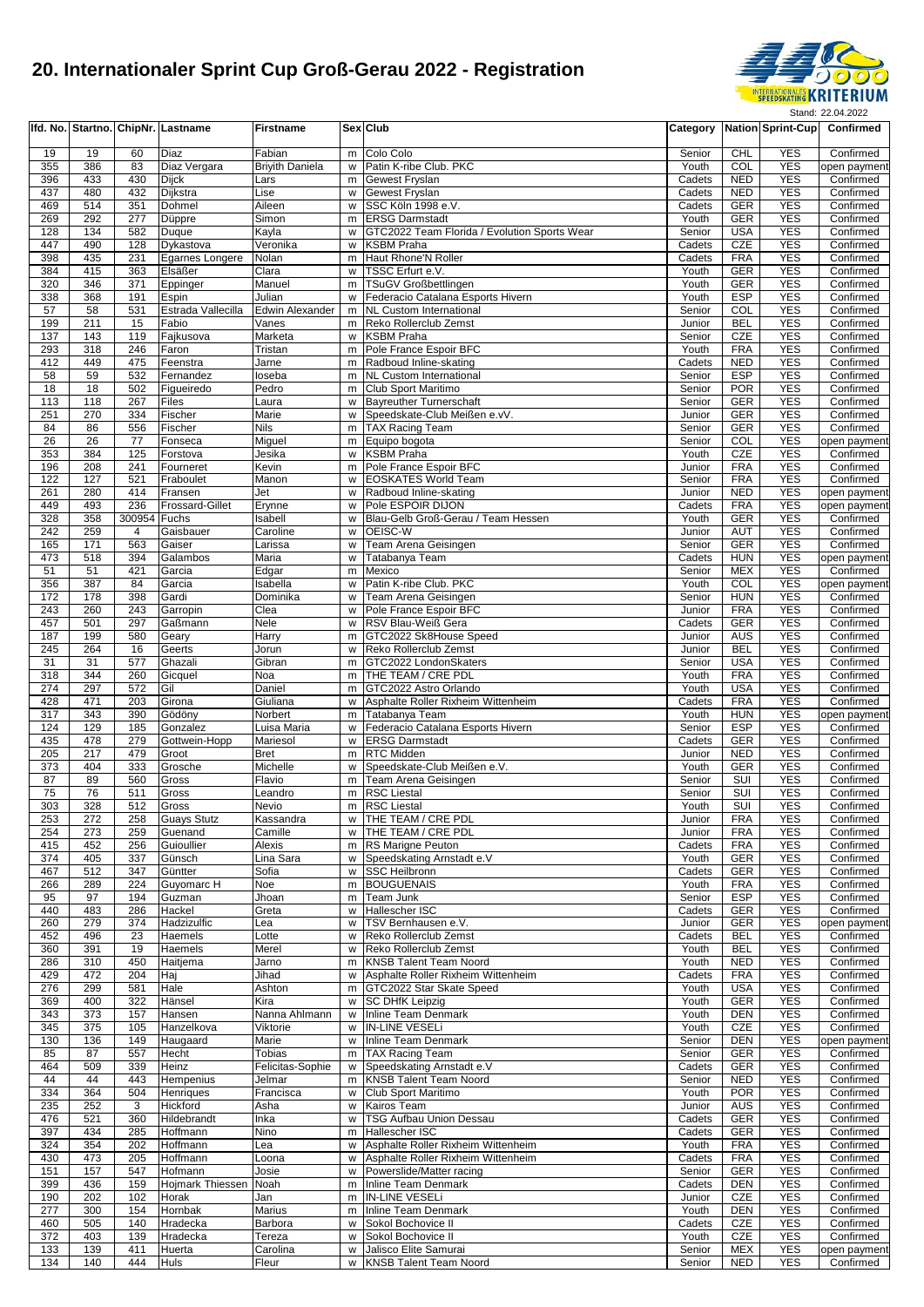

|            |                 |              | Ifd. No. Startno. ChipNr. Lastname | <b>Firstname</b>           |        | Sex Club                                                                     | Category         |                          | <b>Nation Sprint-Cup</b> | Confirmed                 |
|------------|-----------------|--------------|------------------------------------|----------------------------|--------|------------------------------------------------------------------------------|------------------|--------------------------|--------------------------|---------------------------|
| 19         | 19              | 60           | Diaz                               | Fabian                     |        | m Colo Colo                                                                  | Senior           | <b>CHL</b>               | <b>YES</b>               | Confirmed                 |
| 355        | 386             | 83           | Diaz Vergara                       | <b>Brivith Daniela</b>     | W      | Patin K-ribe Club. PKC                                                       | Youth            | COL                      | <b>YES</b>               | open payment              |
| 396        | 433             | 430          | Dijck                              | Lars                       | m      | <b>Gewest Fryslan</b>                                                        | Cadets           | <b>NED</b>               | <b>YES</b>               | Confirmed                 |
| 437<br>469 | 480             | 432<br>351   | Dijkstra                           | Lise                       | w      | <b>Gewest Fryslan</b><br>w SSC Köln 1998 e.V.                                | Cadets           | <b>NED</b>               | <b>YES</b><br><b>YES</b> | Confirmed<br>Confirmed    |
| 269        | 514<br>292      | 277          | Dohmel<br>Düppre                   | Aileen<br>Simon            | m      | <b>ERSG Darmstadt</b>                                                        | Cadets<br>Youth  | <b>GER</b><br><b>GER</b> | <b>YES</b>               | Confirmed                 |
| 128        | 134             | 582          | Duque                              | Kayla                      | w      | GTC2022 Team Florida / Evolution Sports Wear                                 | Senior           | <b>USA</b>               | <b>YES</b>               | Confirmed                 |
| 447        | 490             | 128          | Dykastova                          | Veronika                   | w      | <b>KSBM Praha</b>                                                            | Cadets           | <b>CZE</b>               | <b>YES</b>               | Confirmed                 |
| 398        | 435             | 231          | Egarnes Longere                    | Nolan                      | m      | Haut Rhone'N Roller                                                          | Cadets           | <b>FRA</b>               | <b>YES</b>               | Confirmed                 |
| 384<br>320 | 415<br>346      | 363<br>371   | Elsäßer<br>Eppinger                | Clara<br>Manuel            | W<br>m | TSSC Erfurt e.V.<br>TSuGV Großbettlingen                                     | Youth<br>Youth   | <b>GER</b><br><b>GER</b> | <b>YES</b><br><b>YES</b> | Confirmed<br>Confirmed    |
| 338        | 368             | 191          | Espin                              | Julian                     | W      | Federacio Catalana Esports Hivern                                            | Youth            | <b>ESP</b>               | <b>YES</b>               | Confirmed                 |
| 57         | 58              | 531          | Estrada Vallecilla                 | <b>Edwin Alexander</b>     | m      | <b>NL Custom International</b>                                               | Senior           | $\overline{COL}$         | <b>YES</b>               | Confirmed                 |
| 199        | 211             | 15           | Fabio                              | Vanes                      | m.     | Reko Rollerclub Zemst                                                        | Junior           | <b>BEL</b>               | <b>YES</b>               | Confirmed                 |
| 137<br>293 | 143<br>318      | 119<br>246   | Fajkusova<br>Faron                 | Marketa<br>Tristan         |        | w KSBM Praha<br>m Pole France Espoir BFC                                     | Senior<br>Youth  | <b>CZE</b><br><b>FRA</b> | <b>YES</b><br><b>YES</b> | Confirmed<br>Confirmed    |
| 412        | 449             | 475          | Feenstra                           | Jarne                      |        | m Radboud Inline-skating                                                     | Cadets           | <b>NED</b>               | <b>YES</b>               | Confirmed                 |
| 58         | 59              | 532          | Fernandez                          | loseba                     | m      | <b>NL Custom International</b>                                               | Senior           | <b>ESP</b>               | <b>YES</b>               | Confirmed                 |
| 18         | 18              | 502          | Figueiredo                         | Pedro                      | m      | Club Sport Maritimo                                                          | Senior           | <b>POR</b>               | <b>YES</b>               | Confirmed                 |
| 113        | 118             | 267          | Files                              | Laura                      |        | w Bayreuther Turnerschaft                                                    | Senior           | <b>GER</b>               | <b>YES</b>               | Confirmed                 |
| 251<br>84  | 270<br>86       | 334<br>556   | Fischer<br>Fischer                 | Marie<br><b>Nils</b>       | W      | Speedskate-Club Meißen e.vV.<br>m TAX Racing Team                            | Junior<br>Senior | <b>GER</b><br><b>GER</b> | <b>YES</b><br><b>YES</b> | Confirmed<br>Confirmed    |
| 26         | 26              | 77           | Fonseca                            | Miguel                     |        | m Equipo bogota                                                              | Senior           | COL                      | <b>YES</b>               | open payment              |
| 353        | 384             | 125          | Forstova                           | Jesika                     | w      | <b>KSBM Praha</b>                                                            | Youth            | CZE                      | <b>YES</b>               | Confirmed                 |
| 196        | 208             | 241          | Fourneret                          | Kevin                      |        | m Pole France Espoir BFC                                                     | Junior           | <b>FRA</b>               | <b>YES</b>               | Confirmed                 |
| 122<br>261 | 127<br>280      | 521<br>414   | Fraboulet<br>Fransen               | Manon<br>Jet               | w      | w EOSKATES World Team<br>Radboud Inline-skating                              | Senior<br>Junior | <b>FRA</b><br><b>NED</b> | <b>YES</b><br><b>YES</b> | Confirmed<br>open payment |
| 449        | 493             | 236          | <b>Frossard-Gillet</b>             | Erynne                     | W      | Pole ESPOIR DIJON                                                            | Cadets           | <b>FRA</b>               | <b>YES</b>               | open payment              |
| 328        | 358             | 300954 Fuchs |                                    | Isabell                    |        | w Blau-Gelb Groß-Gerau / Team Hessen                                         | Youth            | <b>GER</b>               | <b>YES</b>               | Confirmed                 |
| 242        | 259             | 4            | Gaisbauer                          | Caroline                   |        | w OEISC-W                                                                    | Junior           | <b>AUT</b>               | <b>YES</b>               | Confirmed                 |
| 165        | $\frac{1}{171}$ | 563          | Gaiser                             | Larissa                    | w      | Team Arena Geisingen                                                         | Senior           | <b>GER</b>               | <b>YES</b>               | Confirmed                 |
| 473<br>51  | 518<br>51       | 394<br>421   | Galambos<br>Garcia                 | Maria<br>Edgar             | w<br>m | Tatabanya Team<br>Mexico                                                     | Cadets<br>Senior | <b>HUN</b><br><b>MEX</b> | <b>YES</b><br><b>YES</b> | open payment<br>Confirmed |
| 356        | 387             | 84           | Garcia                             | Isabella                   | w      | Patin K-ribe Club. PKC                                                       | Youth            | COL                      | <b>YES</b>               | open payment              |
| 172        | 178             | 398          | Gardi                              | Dominika                   | w      | Team Arena Geisingen                                                         | Senior           | <b>HUN</b>               | <b>YES</b>               | Confirmed                 |
| 243        | 260             | 243          | Garropin                           | Clea                       |        | w   Pole France Espoir BFC                                                   | Junior           | <b>FRA</b>               | <b>YES</b>               | Confirmed                 |
| 457<br>187 | 501             | 297          | Gaßmann                            | Nele                       | W      | RSV Blau-Weiß Gera                                                           | Cadets           | <b>GER</b>               | <b>YES</b><br><b>YES</b> | Confirmed                 |
| 245        | 199<br>264      | 580<br>16    | Geary<br>Geerts                    | Harry<br>Jorun             | m      | GTC2022 Sk8House Speed<br>w Reko Rollerclub Zemst                            | Junior<br>Junior | <b>AUS</b><br><b>BEL</b> | <b>YES</b>               | Confirmed<br>Confirmed    |
| 31         | 31              | 577          | Ghazali                            | Gibran                     |        | m GTC2022 LondonSkaters                                                      | Senior           | <b>USA</b>               | <b>YES</b>               | Confirmed                 |
| 318        | 344             | 260          | Gicquel                            | Noa                        |        | m   THE TEAM / CRE PDL                                                       | Youth            | <b>FRA</b>               | <b>YES</b>               | Confirmed                 |
| 274        | 297             | 572          | Gil                                | Daniel                     | m      | GTC2022 Astro Orlando                                                        | Youth            | <b>USA</b>               | <b>YES</b>               | Confirmed                 |
| 428<br>317 | 471             | 203<br>390   | Girona                             | Giuliana                   | w      | Asphalte Roller Rixheim Wittenheim                                           | Cadets<br>Youth  | <b>FRA</b>               | <b>YES</b>               | Confirmed                 |
| 124        | 343<br>129      | 185          | Gödöny<br>Gonzalez                 | Norbert<br>Luisa Maria     | m      | Tatabanya Team<br>w Federacio Catalana Esports Hivern                        | Senior           | <b>HUN</b><br><b>ESP</b> | <b>YES</b><br><b>YES</b> | open payment<br>Confirmed |
| 435        | 478             | 279          | Gottwein-Hopp                      | Mariesol                   |        | w <b>ERSG</b> Darmstadt                                                      | Cadets           | <b>GER</b>               | <b>YES</b>               | Confirmed                 |
| 205        | 217             | 479          | Groot                              | <b>Bret</b>                |        | m RTC Midden                                                                 | Junior           | <b>NED</b>               | <b>YES</b>               | Confirmed                 |
| 373        | 404             | 333          | Grosche                            | Michelle                   | W      | Speedskate-Club Meißen e.V.                                                  | Youth            | <b>GER</b>               | <b>YES</b>               | Confirmed                 |
| 87<br>75   | 89<br>76        | 560<br>511   | Gross<br>Gross                     | Flavio<br>Leandro          | m      | Team Arena Geisingen<br>m RSC Liestal                                        | Senior<br>Senior | SUI<br>SUI               | <b>YES</b><br><b>YES</b> | Confirmed<br>Confirmed    |
| 303        | 328             | 512          | Gross                              | Nevio                      |        | m RSC Liestal                                                                | Youth            | SUI                      | <b>YES</b>               | Confirmed                 |
| 253        | 272             | 258          | <b>Guays Stutz</b>                 | Kassandra                  |        | w THE TEAM / CRE PDL                                                         | Junior           | <b>FRA</b>               | YES                      | Confirmed                 |
| 254        | 273             | 259          | Guenand                            | Camille                    |        | w   THE TEAM / CRE PDL                                                       | Junior           | <b>FRA</b>               | <b>YES</b>               | Confirmed                 |
| 415<br>374 | 452<br>405      | 256<br>337   | Guioullier<br>Günsch               | Alexis<br>Lina Sara        |        | m RS Marigne Peuton<br>w Speedskating Arnstadt e.V                           | Cadets<br>Youth  | <b>FRA</b><br>GER        | <b>YES</b><br><b>YES</b> | Confirmed<br>Confirmed    |
| 467        | 512             | 347          | Güntter                            | Sofia                      |        | w SSC Heilbronn                                                              | Cadets           | GER                      | <b>YES</b>               | Confirmed                 |
| 266        | 289             | 224          | Guyomarc H                         | Noe                        |        | m BOUGUENAIS                                                                 | Youth            | <b>FRA</b>               | <b>YES</b>               | Confirmed                 |
| 95         | 97              | 194          | Guzman                             | Jhoan                      | m      | Team Junk                                                                    | Senior           | <b>ESP</b>               | <b>YES</b>               | Confirmed                 |
| 440        | 483             | 286          | Hackel                             | Greta                      |        | w Hallescher ISC                                                             | Cadets           | GER                      | <b>YES</b>               | Confirmed                 |
| 260<br>452 | 279<br>496      | 374<br>23    | Hadzizulfic<br>Haemels             | Lea<br>Lotte               | w      | TSV Bernhausen e.V.<br>w Reko Rollerclub Zemst                               | Junior<br>Cadets | GER<br><b>BEL</b>        | <b>YES</b><br><b>YES</b> | open payment<br>Confirmed |
| 360        | 391             | 19           | Haemels                            | Merel                      | w      | Reko Rollerclub Zemst                                                        | Youth            | <b>BEL</b>               | <b>YES</b>               | Confirmed                 |
| 286        | 310             | 450          | Haitjema                           | Jarno                      | m      | <b>KNSB Talent Team Noord</b>                                                | Youth            | <b>NED</b>               | <b>YES</b>               | Confirmed                 |
| 429        | 472             | 204          | Haj                                | Jihad                      |        | w Asphalte Roller Rixheim Wittenheim                                         | Cadets           | <b>FRA</b>               | <b>YES</b>               | Confirmed                 |
| 276        | 299             | 581          | Hale                               | Ashton                     |        | m GTC2022 Star Skate Speed                                                   | Youth            | <b>USA</b>               | <b>YES</b>               | Confirmed                 |
| 369<br>343 | 400<br>373      | 322<br>157   | Hänsel<br>Hansen                   | Kira<br>Nanna Ahlmann      |        | w SC DHfK Leipzig<br>w Inline Team Denmark                                   | Youth<br>Youth   | <b>GER</b><br>DEN        | <b>YES</b><br><b>YES</b> | Confirmed<br>Confirmed    |
| 345        | 375             | 105          | Hanzelkova                         | Viktorie                   |        | w IN-LINE VESELi                                                             | Youth            | CZE                      | <b>YES</b>               | Confirmed                 |
| 130        | 136             | 149          | Haugaard                           | Marie                      |        | w Inline Team Denmark                                                        | Senior           | DEN                      | <b>YES</b>               | open payment              |
| 85         | 87              | 557          | Hecht                              | Tobias                     |        | m TAX Racing Team                                                            | Senior           | GER                      | <b>YES</b>               | Confirmed                 |
| 464<br>44  | 509<br>44       | 339<br>443   | Heinz<br>Hempenius                 | Felicitas-Sophie<br>Jelmar |        | w Speedskating Arnstadt e.V<br>m KNSB Talent Team Noord                      | Cadets<br>Senior | GER<br><b>NED</b>        | <b>YES</b><br><b>YES</b> | Confirmed<br>Confirmed    |
| 334        | 364             | 504          | Henriques                          | Francisca                  |        | w Club Sport Maritimo                                                        | Youth            | <b>POR</b>               | <b>YES</b>               | Confirmed                 |
| 235        | 252             | 3            | Hickford                           | Asha                       |        | w Kairos Team                                                                | Junior           | AUS                      | <b>YES</b>               | Confirmed                 |
| 476        | 521             | 360          | Hildebrandt                        | Inka                       | w      | <b>TSG Aufbau Union Dessau</b>                                               | Cadets           | GER                      | <b>YES</b>               | Confirmed                 |
| 397        | 434             | 285          | Hoffmann                           | Nino                       |        | m Hallescher ISC                                                             | Cadets           | GER                      | <b>YES</b>               | Confirmed                 |
| 324<br>430 | 354<br>473      | 202<br>205   | Hoffmann<br>Hoffmann               | Lea                        |        | w Asphalte Roller Rixheim Wittenheim<br>w Asphalte Roller Rixheim Wittenheim | Youth<br>Cadets  | <b>FRA</b><br><b>FRA</b> | <b>YES</b><br><b>YES</b> | Confirmed<br>Confirmed    |
| 151        | 157             | 547          | Hofmann                            | Loona<br>Josie             |        | w Powerslide/Matter racing                                                   | Senior           | <b>GER</b>               | <b>YES</b>               | Confirmed                 |
| 399        | 436             | 159          | Hojmark Thiessen                   | Noah                       |        | m Inline Team Denmark                                                        | Cadets           | <b>DEN</b>               | <b>YES</b>               | Confirmed                 |
| 190        | 202             | 102          | Horak                              | Jan                        |        | m  IN-LINE VESELi                                                            | Junior           | CZE                      | <b>YES</b>               | Confirmed                 |
| 277        | 300             | 154          | Hornbak                            | Marius                     |        | m Inline Team Denmark                                                        | Youth            | DEN                      | <b>YES</b>               | Confirmed                 |
| 460<br>372 | 505<br>403      | 140<br>139   | Hradecka<br>Hradecka               | Barbora<br>Tereza          | W      | Sokol Bochovice II<br>w Sokol Bochovice II                                   | Cadets<br>Youth  | CZE<br>CZE               | <b>YES</b><br><b>YES</b> | Confirmed<br>Confirmed    |
| 133        | 139             | 411          | Huerta                             | Carolina                   |        | w Jalisco Elite Samurai                                                      | Senior           | <b>MEX</b>               | <b>YES</b>               | open payment              |
| 134        | 140             | 444          | Huls                               | Fleur                      |        | w KNSB Talent Team Noord                                                     | Senior           | NED                      | <b>YES</b>               | Confirmed                 |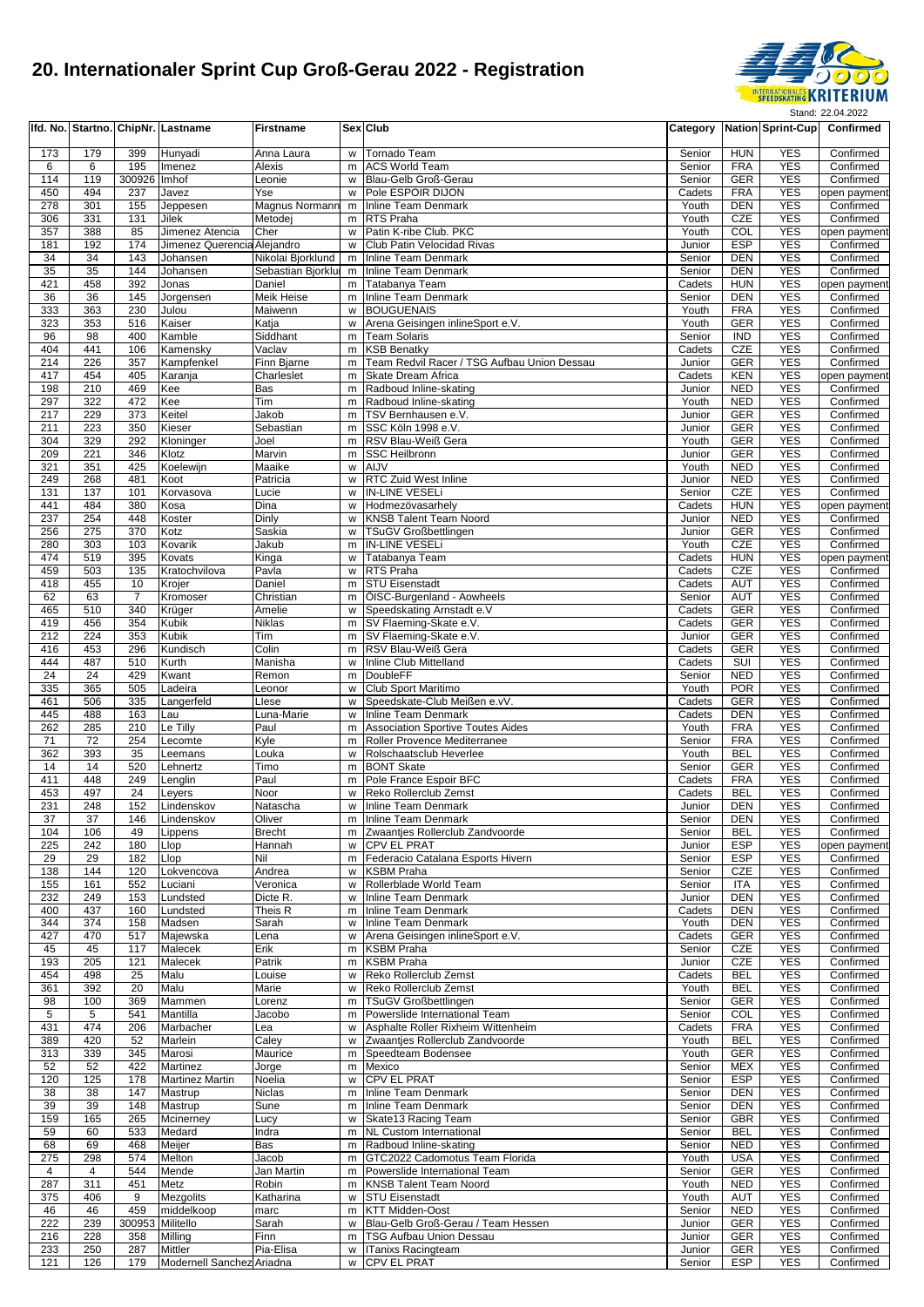

|            |            |                      | Ifd. No. Startno. ChipNr. Lastname   | <b>Firstname</b>      |        | Sex Club                                                              | Category         |                          | <b>Nation Sprint-Cup</b> | Confirmed                 |
|------------|------------|----------------------|--------------------------------------|-----------------------|--------|-----------------------------------------------------------------------|------------------|--------------------------|--------------------------|---------------------------|
| 173        | 179        | 399                  | Hunyadi                              | Anna Laura            | W      | Tornado Team                                                          | Senior           | <b>HUN</b>               | <b>YES</b>               | Confirmed                 |
| 6          | 6          | 195                  | Imenez                               | Alexis                | m      | <b>ACS World Team</b>                                                 | Senior           | <b>FRA</b>               | <b>YES</b>               | Confirmed                 |
| 114        | 119        | 300926               | Imhof                                | Leonie                | W      | Blau-Gelb Groß-Gerau                                                  | Senior           | <b>GER</b>               | <b>YES</b><br><b>YES</b> | Confirmed                 |
| 450<br>278 | 494<br>301 | 237<br>155           | Javez<br>Jeppesen                    | Yse<br>Magnus Normann | w      | Pole ESPOIR DIJON<br>m Inline Team Denmark                            | Cadets<br>Youth  | <b>FRA</b><br><b>DEN</b> | <b>YES</b>               | open payment<br>Confirmed |
| 306        | 331        | 131                  | Jilek                                | Metodei               | m      | <b>RTS Praha</b>                                                      | Youth            | CZE                      | <b>YES</b>               | Confirmed                 |
| 357        | 388        | 85                   | Jimenez Atencia                      | Cher                  | w      | Patin K-ribe Club. PKC                                                | Youth            | COL                      | <b>YES</b>               | open payment              |
| 181        | 192        | 174                  | Jimenez Querencia Alejandro          | Nikolai Bjorklund     | W      | Club Patin Velocidad Rivas                                            | Junior           | <b>ESP</b>               | <b>YES</b><br><b>YES</b> | Confirmed                 |
| 34<br>35   | 34<br>35   | 143<br>144           | Johansen<br>Johansen                 | Sebastian Bjorklui    | m      | Inline Team Denmark<br>m Inline Team Denmark                          | Senior<br>Senior | <b>DEN</b><br><b>DEN</b> | <b>YES</b>               | Confirmed<br>Confirmed    |
| 421        | 458        | 392                  | Jonas                                | Daniel                | m      | Tatabanya Team                                                        | Cadets           | <b>HUN</b>               | <b>YES</b>               | open payment              |
| 36         | 36         | 145                  | Jorgensen                            | Meik Heise            | m      | Inline Team Denmark                                                   | Senior           | <b>DEN</b>               | <b>YES</b>               | Confirmed                 |
| 333        | 363        | 230                  | Julou                                | Maiwenn               | W      | <b>BOUGUENAIS</b>                                                     | Youth            | <b>FRA</b>               | <b>YES</b>               | Confirmed                 |
| 323<br>96  | 353<br>98  | 516<br>400           | Kaiser<br>Kamble                     | Katja<br>Siddhant     | W<br>m | Arena Geisingen inlineSport e.V.<br><b>Team Solaris</b>               | Youth<br>Senior  | <b>GER</b><br><b>IND</b> | <b>YES</b><br><b>YES</b> | Confirmed<br>Confirmed    |
| 404        | 441        | 106                  | Kamensky                             | Vaclav                | m      | <b>KSB Benatky</b>                                                    | Cadets           | <b>CZE</b>               | <b>YES</b>               | Confirmed                 |
| 214        | 226        | 357                  | Kampfenkel                           | Finn Bjarne           | m      | Team Redvil Racer / TSG Aufbau Union Dessau                           | Junior           | <b>GER</b>               | <b>YES</b>               | Confirmed                 |
| 417        | 454        | 405                  | Karanja                              | Charleslet            | m      | Skate Dream Africa                                                    | Cadets           | <b>KEN</b>               | <b>YES</b>               | open payment              |
| 198<br>297 | 210<br>322 | 469<br>472           | Kee<br>Kee                           | Bas<br>Tim            | m      | Radboud Inline-skating<br>m Radboud Inline-skating                    | Junior<br>Youth  | <b>NED</b><br><b>NED</b> | <b>YES</b><br><b>YES</b> | Confirmed<br>Confirmed    |
| 217        | 229        | 373                  | Keitel                               | Jakob                 | m      | TSV Bernhausen e.V.                                                   | Junior           | <b>GER</b>               | <b>YES</b>               | Confirmed                 |
| 211        | 223        | 350                  | Kieser                               | Sebastian             | m      | SSC Köln 1998 e.V.                                                    | Junior           | GER                      | <b>YES</b>               | Confirmed                 |
| 304        | 329        | 292                  | Kloninger                            | Joel                  | m      | RSV Blau-Weiß Gera                                                    | Youth            | <b>GER</b>               | <b>YES</b>               | Confirmed                 |
| 209<br>321 | 221<br>351 | 346<br>425           | Klotz<br>Koelewijn                   | Marvin<br>Maaike      | m<br>w | <b>SSC Heilbronn</b><br>AIJV                                          | Junior<br>Youth  | <b>GER</b><br><b>NED</b> | <b>YES</b><br><b>YES</b> | Confirmed<br>Confirmed    |
| 249        | 268        | 481                  | Koot                                 | Patricia              | W      | <b>RTC Zuid West Inline</b>                                           | Junior           | <b>NED</b>               | <b>YES</b>               | Confirmed                 |
| 131        | 137        | 101                  | Korvasova                            | Lucie                 | W      | <b>IN-LINE VESELI</b>                                                 | Senior           | CZE                      | <b>YES</b>               | Confirmed                 |
| 441        | 484        | 380                  | Kosa                                 | Dina                  | W      | Hodmezövasarhely                                                      | Cadets           | <b>HUN</b>               | <b>YES</b>               | open payment              |
| 237<br>256 | 254<br>275 | 448<br>370           | Koster<br>Kotz                       | Dinly<br>Saskia       | w<br>W | <b>KNSB Talent Team Noord</b><br><b>TSuGV Großbettlingen</b>          | Junior<br>Junior | <b>NED</b><br><b>GER</b> | <b>YES</b><br><b>YES</b> | Confirmed<br>Confirmed    |
| 280        | 303        | 103                  | Kovarik                              | Jakub                 | m      | <b>IN-LINE VESELI</b>                                                 | Youth            | CZE                      | <b>YES</b>               | Confirmed                 |
| 474        | 519        | 395                  | Kovats                               | Kinga                 | w      | Tatabanya Team                                                        | Cadets           | <b>HUN</b>               | <b>YES</b>               | open payment              |
| 459        | 503        | 135                  | Kratochvilova                        | Pavla                 | W      | <b>RTS Praha</b>                                                      | Cadets           | CZE                      | <b>YES</b>               | Confirmed                 |
| 418<br>62  | 455        | 10<br>$\overline{7}$ | Krojer                               | Daniel                | m      | <b>STU Eisenstadt</b>                                                 | Cadets           | <b>AUT</b>               | <b>YES</b><br><b>YES</b> | Confirmed                 |
| 465        | 63<br>510  | 340                  | Kromoser<br>Krüger                   | Christian<br>Amelie   | m      | ÖISC-Burgenland - Aowheels<br>w Speedskating Arnstadt e.V             | Senior<br>Cadets | <b>AUT</b><br><b>GER</b> | <b>YES</b>               | Confirmed<br>Confirmed    |
| 419        | 456        | 354                  | Kubik                                | Niklas                | m.     | SV Flaeming-Skate e.V.                                                | Cadets           | <b>GER</b>               | <b>YES</b>               | Confirmed                 |
| 212        | 224        | 353                  | Kubik                                | Tim                   | m      | SV Flaeming-Skate e.V.                                                | Junior           | <b>GER</b>               | <b>YES</b>               | Confirmed                 |
| 416        | 453        | 296                  | Kundisch                             | Colin                 | m      | RSV Blau-Weiß Gera                                                    | Cadets           | <b>GER</b>               | <b>YES</b>               | Confirmed                 |
| 444<br>24  | 487<br>24  | 510<br>429           | Kurth<br>Kwant                       | Manisha<br>Remon      | w<br>m | Inline Club Mittelland<br><b>DoubleFF</b>                             | Cadets<br>Senior | <b>SUI</b><br><b>NED</b> | <b>YES</b><br><b>YES</b> | Confirmed<br>Confirmed    |
| 335        | 365        | 505                  | Ladeira                              | Leonor                | W      | Club Sport Maritimo                                                   | Youth            | <b>POR</b>               | <b>YES</b>               | Confirmed                 |
| 461        | 506        | 335                  | Langerfeld                           | Llese                 | W      | Speedskate-Club Meißen e.vV.                                          | Cadets           | <b>GER</b>               | <b>YES</b>               | Confirmed                 |
| 445        | 488        | 163                  | Lau                                  | Luna-Marie            | W      | Inline Team Denmark                                                   | Cadets           | <b>DEN</b>               | <b>YES</b>               | Confirmed                 |
| 262<br>71  | 285<br>72  | 210<br>254           | Le Tilly<br>Lecomte                  | Paul<br>Kyle          |        | m Association Sportive Toutes Aides<br>m Roller Provence Mediterranee | Youth<br>Senior  | <b>FRA</b><br><b>FRA</b> | <b>YES</b><br><b>YES</b> | Confirmed<br>Confirmed    |
| 362        | 393        | 35                   | Leemans                              | Louka                 | W      | Rolschaatsclub Heverlee                                               | Youth            | <b>BEL</b>               | <b>YES</b>               | Confirmed                 |
| 14         | 14         | 520                  | Lehnertz                             | Timo                  | m      | <b>BONT Skate</b>                                                     | Senior           | <b>GER</b>               | <b>YES</b>               | Confirmed                 |
| 411        | 448        | 249                  | Lenglin                              | Paul                  | m      | Pole France Espoir BFC                                                | Cadets           | <b>FRA</b>               | <b>YES</b>               | Confirmed                 |
| 453<br>231 | 497<br>248 | 24<br>152            | Leyers<br>Lindenskov                 | Noor<br>Natascha      | W<br>w | Reko Rollerclub Zemst<br>Inline Team Denmark                          | Cadets<br>Junior | <b>BEL</b><br><b>DEN</b> | <b>YES</b><br><b>YES</b> | Confirmed<br>Confirmed    |
| 37         | 37         | 146                  | Lindenskov                           | Oliver                |        | m Inline Team Denmark                                                 | Senior           | DEN                      | YES                      | Confirmed                 |
| 104        | 106        | 49                   | Lippens                              | <b>Brecht</b>         | m      | Zwaantjes Rollerclub Zandvoorde                                       | Senior           | <b>BEL</b>               | <b>YES</b>               | Confirmed                 |
| 225        | 242        | 180                  | Llop                                 | Hannah                | w      | <b>CPV EL PRAT</b>                                                    | Junior           | <b>ESP</b>               | <b>YES</b>               | open payment              |
| 29<br>138  | 29<br>144  | 182<br>120           | Llop<br>Lokvencova                   | Nil<br>Andrea         | m<br>w | Federacio Catalana Esports Hivern<br><b>KSBM Praha</b>                | Senior<br>Senior | <b>ESP</b><br>CZE        | <b>YES</b><br><b>YES</b> | Confirmed<br>Confirmed    |
| 155        | 161        | 552                  | Luciani                              | Veronica              | W      | Rollerblade World Team                                                | Senior           | ITA                      | <b>YES</b>               | Confirmed                 |
| 232        | 249        | 153                  | Lundsted                             | Dicte R.              | W      | Inline Team Denmark                                                   | Junior           | <b>DEN</b>               | <b>YES</b>               | Confirmed                 |
| 400        | 437        | 160                  | Lundsted                             | Theis R               | m      | Inline Team Denmark                                                   | Cadets           | <b>DEN</b>               | <b>YES</b>               | Confirmed                 |
| 344<br>427 | 374<br>470 | 158<br>517           | Madsen<br>Majewska                   | Sarah<br>∟ena         | w<br>w | Inline Team Denmark<br>Arena Geisingen inlineSport e.V.               | Youth<br>Cadets  | DEN<br><b>GER</b>        | <b>YES</b><br><b>YES</b> | Confirmed<br>Confirmed    |
| 45         | 45         | 117                  | Malecek                              | Erik                  | m      | <b>KSBM Praha</b>                                                     | Senior           | CZE                      | <b>YES</b>               | Confirmed                 |
| 193        | 205        | 121                  | Malecek                              | Patrik                | m      | <b>KSBM Praha</b>                                                     | Junior           | CZE                      | <b>YES</b>               | Confirmed                 |
| 454        | 498        | 25                   | Malu                                 | Louise                | w      | Reko Rollerclub Zemst                                                 | Cadets           | <b>BEL</b>               | <b>YES</b>               | Confirmed                 |
| 361<br>98  | 392<br>100 | 20<br>369            | Malu<br>Mammen                       | Marie<br>Lorenz       | w<br>m | Reko Rollerclub Zemst<br>TSuGV Großbettlingen                         | Youth<br>Senior  | <b>BEL</b><br><b>GER</b> | <b>YES</b><br><b>YES</b> | Confirmed<br>Confirmed    |
| 5          | 5          | 541                  | Mantilla                             | Jacobo                | m      | Powerslide International Team                                         | Senior           | COL                      | <b>YES</b>               | Confirmed                 |
| 431        | 474        | 206                  | Marbacher                            | Lea                   | w      | Asphalte Roller Rixheim Wittenheim                                    | Cadets           | <b>FRA</b>               | <b>YES</b>               | Confirmed                 |
| 389        | 420        | 52                   | Marlein                              | Caley                 | w      | Zwaantjes Rollerclub Zandvoorde                                       | Youth            | <b>BEL</b>               | <b>YES</b>               | Confirmed                 |
| 313<br>52  | 339<br>52  | 345<br>422           | Marosi<br>Martinez                   | Maurice<br>Jorge      | m      | Speedteam Bodensee<br>m Mexico                                        | Youth<br>Senior  | GER<br><b>MEX</b>        | <b>YES</b><br><b>YES</b> | Confirmed<br>Confirmed    |
| 120        | 125        | 178                  | <b>Martinez Martin</b>               | Noelia                | W      | <b>CPV EL PRAT</b>                                                    | Senior           | <b>ESP</b>               | <b>YES</b>               | Confirmed                 |
| 38         | 38         | 147                  | Mastrup                              | Niclas                | m      | Inline Team Denmark                                                   | Senior           | <b>DEN</b>               | <b>YES</b>               | Confirmed                 |
| 39         | 39         | 148                  | Mastrup                              | Sune                  | m      | Inline Team Denmark                                                   | Senior           | <b>DEN</b>               | <b>YES</b>               | Confirmed                 |
| 159<br>59  | 165<br>60  | 265<br>533           | Mcinerney<br>Medard                  | Lucy<br>Indra         | W<br>m | Skate13 Racing Team<br>NL Custom International                        | Senior<br>Senior | <b>GBR</b><br><b>BEL</b> | <b>YES</b><br><b>YES</b> | Confirmed<br>Confirmed    |
| 68         | 69         | 468                  | Meijer                               | Bas                   | m      | Radboud Inline-skating                                                | Senior           | <b>NED</b>               | <b>YES</b>               | Confirmed                 |
| 275        | 298        | 574                  | Melton                               | Jacob                 | m      | GTC2022 Cadomotus Team Florida                                        | Youth            | <b>USA</b>               | <b>YES</b>               | Confirmed                 |
| 4          | 4          | 544                  | Mende                                | Jan Martin            | m      | Powerslide International Team                                         | Senior           | GER                      | <b>YES</b>               | Confirmed                 |
| 287<br>375 | 311<br>406 | 451<br>9             | Metz                                 | Robin                 |        | m KNSB Talent Team Noord<br><b>STU Eisenstadt</b>                     | Youth<br>Youth   | <b>NED</b><br><b>AUT</b> | <b>YES</b><br><b>YES</b> | Confirmed                 |
| 46         | 46         | 459                  | Mezgolits<br>middelkoop              | Katharina<br>marc     | W<br>m | <b>KTT Midden-Oost</b>                                                | Senior           | <b>NED</b>               | <b>YES</b>               | Confirmed<br>Confirmed    |
| 222        | 239        | 300953 Militello     |                                      | Sarah                 | w      | Blau-Gelb Groß-Gerau / Team Hessen                                    | Junior           | <b>GER</b>               | <b>YES</b>               | Confirmed                 |
| 216        | 228        | 358                  | Milling                              | Finn                  | m      | <b>TSG Aufbau Union Dessau</b>                                        | Junior           | GER                      | <b>YES</b>               | Confirmed                 |
| 233<br>121 | 250<br>126 | 287<br>179           | Mittler<br>Modernell Sanchez Ariadna | Pia-Elisa             |        | w   Tanixs Racingteam<br>w CPV EL PRAT                                | Junior<br>Senior | GER<br><b>ESP</b>        | <b>YES</b><br>YES        | Confirmed<br>Confirmed    |
|            |            |                      |                                      |                       |        |                                                                       |                  |                          |                          |                           |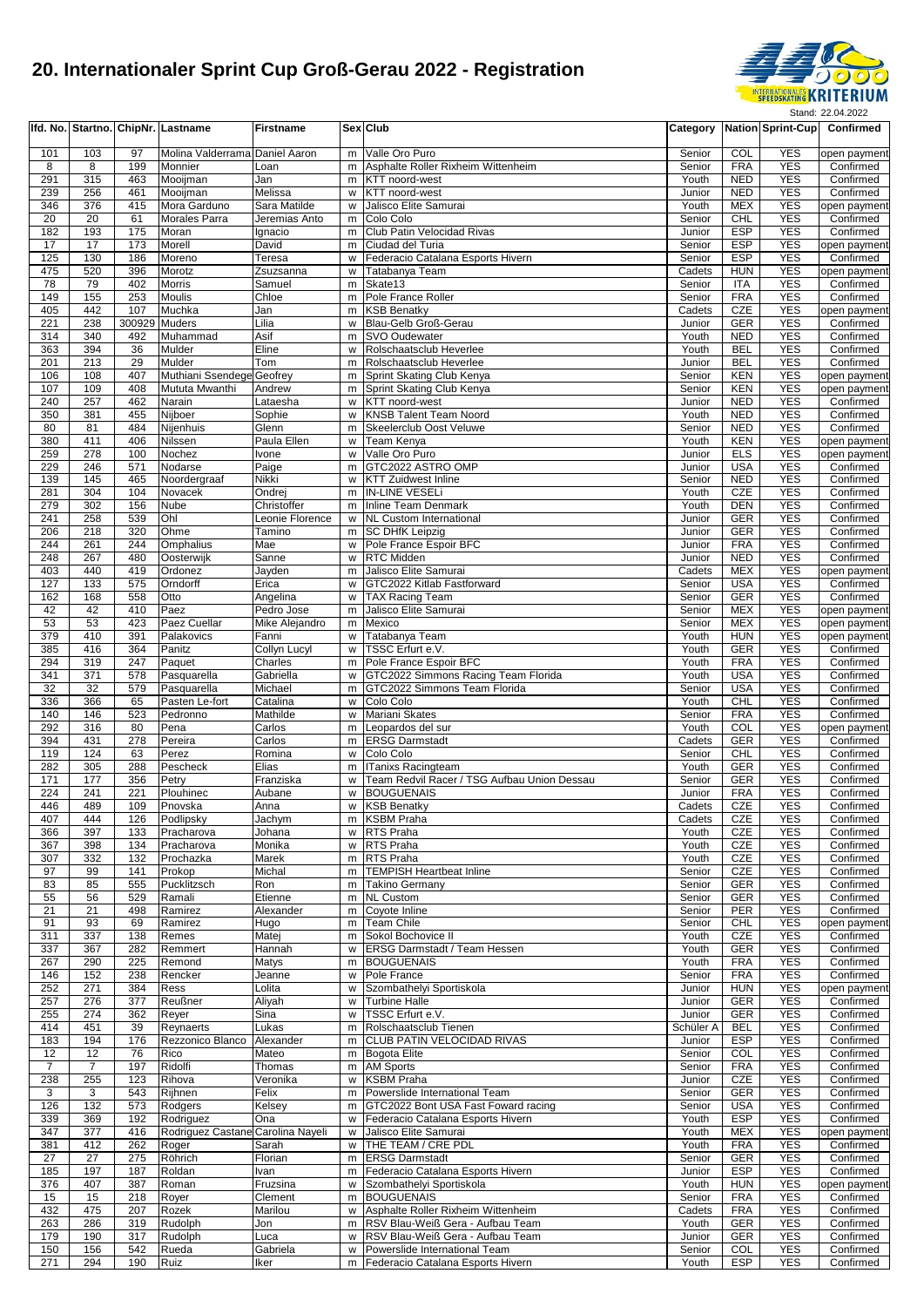

|                |                |                      | Ifd. No. Startno. ChipNr. Lastname | <b>Firstname</b>               |         | Sex Club                                                             |                     |                          |                          | Category Nation Sprint-Cup Confirmed |
|----------------|----------------|----------------------|------------------------------------|--------------------------------|---------|----------------------------------------------------------------------|---------------------|--------------------------|--------------------------|--------------------------------------|
| 101            | 103            | 97                   | Molina Valderrama Daniel Aaron     |                                | m       | Valle Oro Puro                                                       | Senior              | COL                      | <b>YES</b>               | open payment                         |
| 8              | 8              | 199                  | Monnier                            | Loan                           | m       | Asphalte Roller Rixheim Wittenheim                                   | Senior              | <b>FRA</b>               | <b>YES</b>               | Confirmed                            |
| 291            | 315            | 463                  | Mooijman                           | Jan                            | m       | KTT noord-west                                                       | Youth               | <b>NED</b>               | <b>YES</b>               | Confirmed                            |
| 239<br>346     | 256<br>376     | 461<br>415           | Mooijman<br>Mora Garduno           | Melissa<br>Sara Matilde        | W       | w KTT noord-west<br>Jalisco Elite Samurai                            | Junior<br>Youth     | <b>NED</b><br><b>MEX</b> | <b>YES</b><br><b>YES</b> | Confirmed<br>open payment            |
| 20             | 20             | 61                   | <b>Morales Parra</b>               | Jeremias Anto                  | m       | Colo Colo                                                            | Senior              | CHL                      | <b>YES</b>               | Confirmed                            |
| 182            | 193            | 175                  | Moran                              | Ignacio                        | m       | Club Patin Velocidad Rivas                                           | Junior              | <b>ESP</b>               | <b>YES</b>               | Confirmed                            |
| 17             | 17             | 173                  | Morell                             | David                          | m       | Ciudad del Turia                                                     | Senior              | <b>ESP</b>               | <b>YES</b>               | open payment                         |
| 125<br>475     | 130<br>520     | 186<br>396           | Moreno<br>Morotz                   | Teresa<br>Zsuzsanna            | w<br>w  | Federacio Catalana Esports Hivern<br>Tatabanya Team                  | Senior<br>Cadets    | <b>ESP</b><br><b>HUN</b> | <b>YES</b><br><b>YES</b> | Confirmed<br>open payment            |
| 78             | 79             | 402                  | <b>Morris</b>                      | Samuel                         | m       | Skate13                                                              | Senior              | <b>ITA</b>               | <b>YES</b>               | Confirmed                            |
| 149            | 155            | 253                  | Moulis                             | Chloe                          | m       | Pole France Roller                                                   | Senior              | <b>FRA</b>               | <b>YES</b>               | Confirmed                            |
| 405            | 442            | 107                  | Muchka                             | Jan                            | m       | <b>KSB Benatky</b>                                                   | Cadets              | CZE                      | <b>YES</b>               | open payment                         |
| 221<br>314     | 238<br>340     | 300929 Muders<br>492 | Muhammad                           | Lilia<br>Asif                  | w<br>m  | Blau-Gelb Groß-Gerau<br>SVO Oudewater                                | Junior<br>Youth     | <b>GER</b><br><b>NED</b> | <b>YES</b><br><b>YES</b> | Confirmed<br>Confirmed               |
| 363            | 394            | 36                   | Mulder                             | Eline                          | w       | Rolschaatsclub Heverlee                                              | Youth               | <b>BEL</b>               | <b>YES</b>               | Confirmed                            |
| 201            | 213            | 29                   | Mulder                             | Tom                            | m       | Rolschaatsclub Heverlee                                              | Junior              | <b>BEL</b>               | <b>YES</b>               | Confirmed                            |
| 106            | 108            | 407                  | Muthiani Ssendege Geofrey          |                                | m       | Sprint Skating Club Kenya                                            | Senior              | <b>KEN</b>               | <b>YES</b><br><b>YES</b> | open payment                         |
| 107<br>240     | 109<br>257     | 408<br>462           | Mututa Mwanthi<br>Narain           | Andrew<br>Lataesha             | m<br>w  | Sprint Skating Club Kenya<br>KTT noord-west                          | Senior<br>Junior    | <b>KEN</b><br><b>NED</b> | <b>YES</b>               | open payment<br>Confirmed            |
| 350            | 381            | 455                  | Nijboer                            | Sophie                         | w       | <b>KNSB Talent Team Noord</b>                                        | Youth               | <b>NED</b>               | <b>YES</b>               | Confirmed                            |
| 80             | 81             | 484                  | Nijenhuis                          | Glenn                          | m       | Skeelerclub Oost Veluwe                                              | Senior              | <b>NED</b>               | <b>YES</b>               | Confirmed                            |
| 380            | 411            | 406                  | Nilssen                            | Paula Ellen                    | W       | Team Kenya<br>Valle Oro Puro                                         | Youth               | <b>KEN</b>               | <b>YES</b><br><b>YES</b> | open payment                         |
| 259<br>229     | 278<br>246     | 100<br>571           | Nochez<br>Nodarse                  | Ivone<br>Paige                 | W<br>m. | GTC2022 ASTRO OMP                                                    | Junior<br>Junior    | <b>ELS</b><br><b>USA</b> | <b>YES</b>               | open payment<br>Confirmed            |
| 139            | 145            | 465                  | Noordergraaf                       | Nikki                          | w       | <b>KTT Zuidwest Inline</b>                                           | Senior              | <b>NED</b>               | <b>YES</b>               | Confirmed                            |
| 281            | 304            | 104                  | Novacek                            | Ondrej                         | m       | IN-LINE VESELI                                                       | Youth               | CZE                      | <b>YES</b>               | Confirmed                            |
| 279            | 302            | 156                  | <b>Nube</b>                        | Christoffer                    | m       | Inline Team Denmark                                                  | Youth               | <b>DEN</b>               | <b>YES</b>               | Confirmed                            |
| 241<br>206     | 258<br>218     | 539<br>320           | Ohl<br>Ohme                        | Leonie Florence<br>Tamino      |         | w NL Custom International<br>m SC DHfK Leipzig                       | Junior<br>Junior    | <b>GER</b><br><b>GER</b> | <b>YES</b><br><b>YES</b> | Confirmed<br>Confirmed               |
| 244            | 261            | 244                  | Omphalius                          | Mae                            | W       | Pole France Espoir BFC                                               | Junior              | <b>FRA</b>               | <b>YES</b>               | Confirmed                            |
| 248            | 267            | 480                  | Oosterwijk                         | Sanne                          | w       | RTC Midden                                                           | Junior              | <b>NED</b>               | <b>YES</b>               | Confirmed                            |
| 403            | 440            | 419                  | Ordonez                            | Jayden                         | m       | Jalisco Elite Samurai                                                | Cadets              | <b>MEX</b>               | <b>YES</b>               | open payment                         |
| 127<br>162     | 133<br>168     | 575<br>558           | Orndorff<br>Otto                   | Erica<br>Angelina              | w<br>w  | GTC2022 Kitlab Fastforward<br><b>TAX Racing Team</b>                 | Senior<br>Senior    | <b>USA</b><br><b>GER</b> | <b>YES</b><br><b>YES</b> | Confirmed<br>Confirmed               |
| 42             | 42             | 410                  | Paez                               | Pedro Jose                     | m       | Jalisco Elite Samurai                                                | Senior              | <b>MEX</b>               | <b>YES</b>               | open paymen                          |
| 53             | 53             | 423                  | Paez Cuellar                       | Mike Alejandro                 | m       | Mexico                                                               | Senior              | <b>MEX</b>               | <b>YES</b>               | open payment                         |
| 379            | 410            | 391                  | Palakovics                         | Fanni                          | w       | Tatabanya Team                                                       | Youth               | <b>HUN</b>               | <b>YES</b>               | open payment                         |
| 385<br>294     | 416<br>319     | 364<br>247           | Panitz<br>Paquet                   | <b>Collyn Lucyl</b><br>Charles | W<br>m. | TSSC Erfurt e.V.<br>Pole France Espoir BFC                           | Youth<br>Youth      | <b>GER</b><br><b>FRA</b> | <b>YES</b><br><b>YES</b> | Confirmed<br>Confirmed               |
| 341            | 371            | 578                  | Pasquarella                        | Gabriella                      | w       | GTC2022 Simmons Racing Team Florida                                  | Youth               | <b>USA</b>               | <b>YES</b>               | Confirmed                            |
| 32             | 32             | 579                  | Pasquarella                        | Michael                        | m       | GTC2022 Simmons Team Florida                                         | Senior              | <b>USA</b>               | <b>YES</b>               | Confirmed                            |
| 336            | 366            | 65                   | Pasten Le-fort                     | Catalina                       | w       | Colo Colo                                                            | Youth               | CHL                      | <b>YES</b>               | Confirmed                            |
| 140<br>292     | 146<br>316     | 523<br>80            | Pedronno<br>Pena                   | Mathilde<br>Carlos             | w<br>m  | Mariani Skates<br>Leopardos del sur                                  | Senior<br>Youth     | <b>FRA</b><br>COL        | <b>YES</b><br><b>YES</b> | Confirmed<br>open payment            |
| 394            | 431            | 278                  | Pereira                            | Carlos                         | m       | <b>ERSG Darmstadt</b>                                                | Cadets              | <b>GER</b>               | <b>YES</b>               | Confirmed                            |
| 119            | 124            | 63                   | Perez                              | Romina                         | W       | Colo Colo                                                            | Senior              | <b>CHL</b>               | <b>YES</b>               | Confirmed                            |
| 282            | 305            | 288                  | Pescheck                           | Elias                          | m       | ITanixs Racingteam<br>Team Redvil Racer / TSG Aufbau Union Dessau    | Youth               | <b>GER</b>               | <b>YES</b><br><b>YES</b> | Confirmed                            |
| 171<br>224     | 177<br>241     | 356<br>221           | Petry<br>Plouhinec                 | Franziska<br>Aubane            | W<br>W  | <b>BOUGUENAIS</b>                                                    | Senior<br>Junior    | <b>GER</b><br><b>FRA</b> | <b>YES</b>               | Confirmed<br>Confirmed               |
| 446            | 489            | 109                  | Pnovska                            | Anna                           | w       | <b>KSB Benatky</b>                                                   | Cadets              | CZE                      | <b>YES</b>               | Confirmed                            |
| 407            | 444            | 126                  | Podlipsky                          | Jachym                         |         | m KSBM Praha                                                         | Cadets              | CZE                      | YES                      | Confirmed                            |
| 366            | 397            | 133                  | Pracharova                         | Johana                         |         | w RTS Praha<br>w RTS Praha                                           | Youth               | CZE                      | <b>YES</b><br><b>YES</b> | Confirmed                            |
| 367<br>307     | 398<br>332     | 134<br>132           | Pracharova<br>Prochazka            | Monika<br>Marek                | m       | RTS Praha                                                            | Youth<br>Youth      | CZE<br>CZE               | <b>YES</b>               | Confirmed<br>Confirmed               |
| 97             | 99             | 141                  | Prokop                             | Michal                         | m       | <b>TEMPISH Heartbeat Inline</b>                                      | Senior              | CZE                      | <b>YES</b>               | Confirmed                            |
| 83             | 85             | 555                  | Pucklitzsch                        | Ron                            | m       | <b>Takino Germany</b>                                                | Senior              | <b>GER</b>               | <b>YES</b>               | Confirmed                            |
| 55<br>21       | 56<br>21       | 529<br>498           | Ramali<br>Ramirez                  | Etienne<br>Alexander           | m<br>m  | <b>NL Custom</b><br>Coyote Inline                                    | Senior<br>Senior    | <b>GER</b><br>PER        | <b>YES</b><br><b>YES</b> | Confirmed<br>Confirmed               |
| 91             | 93             | 69                   | Ramirez                            | Hugo                           | m       | <b>Team Chile</b>                                                    | Senior              | CHL                      | <b>YES</b>               | open payment                         |
| 311            | 337            | 138                  | Remes                              | Matej                          | m       | Sokol Bochovice II                                                   | Youth               | CZE                      | <b>YES</b>               | Confirmed                            |
| 337            | 367            | 282                  | Remmert                            | Hannah                         | w       | <b>ERSG Darmstadt / Team Hessen</b>                                  | Youth               | <b>GER</b>               | <b>YES</b>               | Confirmed                            |
| 267<br>146     | 290<br>152     | 225<br>238           | Remond<br>Rencker                  | Matys<br>Jeanne                | m       | <b>BOUGUENAIS</b><br>w Pole France                                   | Youth<br>Senior     | <b>FRA</b><br><b>FRA</b> | <b>YES</b><br><b>YES</b> | Confirmed<br>Confirmed               |
| 252            | 271            | 384                  | Ress                               | Lolita                         | w       | Szombathelyi Sportiskola                                             | Junior              | <b>HUN</b>               | <b>YES</b>               | open payment                         |
| 257            | 276            | 377                  | Reußner                            | Aliyah                         | W       | <b>Turbine Halle</b>                                                 | Junior              | <b>GER</b>               | <b>YES</b>               | Confirmed                            |
| 255            | 274            | 362                  | Reyer                              | Sina                           | w       | TSSC Erfurt e.V.                                                     | Junior              | <b>GER</b>               | <b>YES</b>               | Confirmed                            |
| 414<br>183     | 451<br>194     | 39<br>176            | Reynaerts<br>Rezzonico Blanco      | Lukas<br>Alexander             | m<br>m  | Rolschaatsclub Tienen<br>CLUB PATIN VELOCIDAD RIVAS                  | Schüler A<br>Junior | <b>BEL</b><br><b>ESP</b> | <b>YES</b><br><b>YES</b> | Confirmed<br>Confirmed               |
| 12             | 12             | 76                   | Rico                               | Mateo                          |         | m Bogota Elite                                                       | Senior              | COL                      | <b>YES</b>               | Confirmed                            |
| $\overline{7}$ | $\overline{7}$ | 197                  | Ridolfi                            | Thomas                         |         | m AM Sports                                                          | Senior              | <b>FRA</b>               | <b>YES</b>               | Confirmed                            |
| 238            | 255            | 123                  | Rihova                             | Veronika                       | W       | <b>KSBM Praha</b>                                                    | Junior              | CZE                      | <b>YES</b>               | Confirmed                            |
| 3<br>126       | 3<br>132       | 543<br>573           | Rijhnen<br>Rodgers                 | Felix<br>Kelsey                | m<br>m  | Powerslide International Team<br>GTC2022 Bont USA Fast Foward racing | Senior<br>Senior    | <b>GER</b><br><b>USA</b> | <b>YES</b><br><b>YES</b> | Confirmed<br>Confirmed               |
| 339            | 369            | 192                  | Rodriguez                          | Ona                            | w       | Federacio Catalana Esports Hivern                                    | Youth               | <b>ESP</b>               | <b>YES</b>               | Confirmed                            |
| 347            | 377            | 416                  | Rodriguez Castane Carolina Nayeli  |                                | W       | Jalisco Elite Samurai                                                | Youth               | MEX                      | <b>YES</b>               | open payment                         |
| 381            | 412            | 262                  | Roger                              | Sarah                          | w       | THE TEAM / CRE PDL                                                   | Youth               | <b>FRA</b>               | <b>YES</b>               | Confirmed                            |
| 27<br>185      | 27<br>197      | 275<br>187           | Röhrich<br>Roldan                  | Florian<br>Ivan                | m       | <b>ERSG Darmstadt</b><br>m Federacio Catalana Esports Hivern         | Senior<br>Junior    | <b>GER</b><br><b>ESP</b> | <b>YES</b><br><b>YES</b> | Confirmed<br>Confirmed               |
| 376            | 407            | 387                  | Roman                              | Fruzsina                       | W       | Szombathelyi Sportiskola                                             | Youth               | <b>HUN</b>               | <b>YES</b>               | open payment                         |
| 15             | 15             | 218                  | Royer                              | Clement                        | m       | <b>BOUGUENAIS</b>                                                    | Senior              | <b>FRA</b>               | <b>YES</b>               | Confirmed                            |
| 432            | 475            | 207                  | Rozek                              | Marilou                        | w       | Asphalte Roller Rixheim Wittenheim                                   | Cadets              | <b>FRA</b><br><b>GER</b> | <b>YES</b>               | Confirmed                            |
| 263<br>179     | 286<br>190     | 319<br>317           | Rudolph<br>Rudolph                 | Jon<br>Luca                    | m<br>w  | RSV Blau-Weiß Gera - Aufbau Team<br>RSV Blau-Weiß Gera - Aufbau Team | Youth<br>Junior     | GER                      | <b>YES</b><br><b>YES</b> | Confirmed<br>Confirmed               |
| 150            | 156            | 542                  | Rueda                              | Gabriela                       | W       | Powerslide International Team                                        | Senior              | COL                      | <b>YES</b>               | Confirmed                            |
| 271            | 294            | 190                  | Ruiz                               | Iker                           |         | m Federacio Catalana Esports Hivern                                  | Youth               | ESP                      | <b>YES</b>               | Confirmed                            |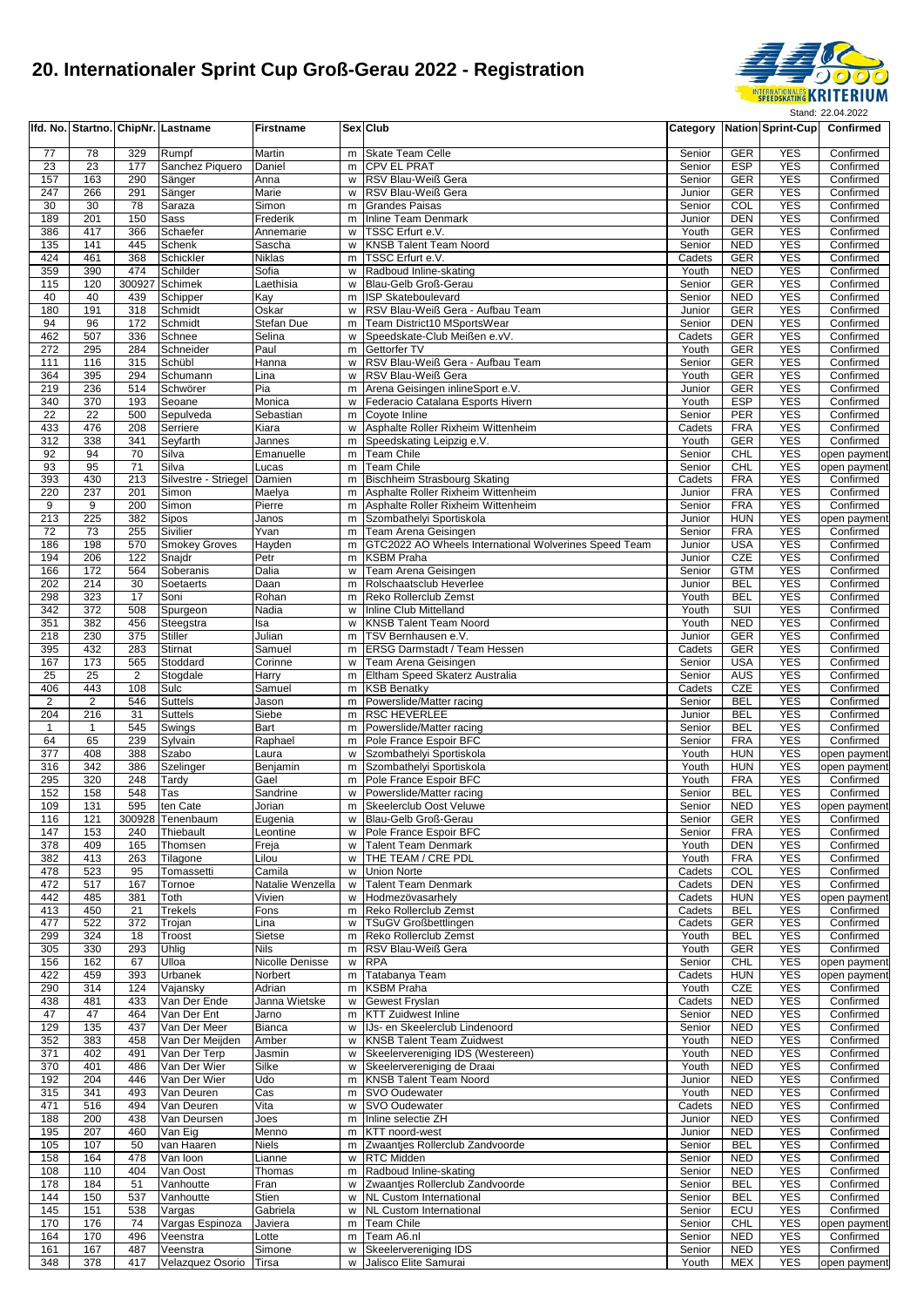

|                 |                |                       | Ifd. No. Startno. ChipNr. Lastname | <b>Firstname</b>      |        | Sex Club                                                           |                  |                          | Category Nation Sprint-Cup | Confirmed                 |
|-----------------|----------------|-----------------------|------------------------------------|-----------------------|--------|--------------------------------------------------------------------|------------------|--------------------------|----------------------------|---------------------------|
| 77              | 78             | 329                   | Rumpf                              | Martin                | m      | <b>Skate Team Celle</b>                                            | Senior           | GER                      | <b>YES</b>                 | Confirmed                 |
| 23              | 23             | 177                   | Sanchez Piquero                    | Daniel                | m      | <b>CPV EL PRAT</b>                                                 | Senior           | <b>ESP</b>               | <b>YES</b>                 | Confirmed                 |
| 157             | 163            | 290                   | Sänger                             | Anna                  | W      | RSV Blau-Weiß Gera                                                 | Senior           | <b>GER</b>               | <b>YES</b>                 | Confirmed                 |
| 247             | 266            | 291                   | Sänger                             | Marie                 | W      | RSV Blau-Weiß Gera                                                 | Junior           | <b>GER</b>               | <b>YES</b>                 | Confirmed                 |
| 30              | 30             | 78                    | Saraza                             | Simon                 | m      | <b>Grandes Paisas</b>                                              | Senior           | COL                      | <b>YES</b>                 | Confirmed                 |
| 189<br>386      | 201<br>417     | 150<br>366            | Sass<br>Schaefer                   | Frederik<br>Annemarie | m<br>W | Inline Team Denmark<br>TSSC Erfurt e.V.                            | Junior<br>Youth  | <b>DEN</b><br><b>GER</b> | <b>YES</b><br><b>YES</b>   | Confirmed<br>Confirmed    |
| 135             | 141            | 445                   | Schenk                             | Sascha                | w      | <b>KNSB Talent Team Noord</b>                                      | Senior           | <b>NED</b>               | <b>YES</b>                 | Confirmed                 |
| 424             | 461            | 368                   | Schickler                          | Niklas                | m      | TSSC Erfurt e.V.                                                   | Cadets           | <b>GER</b>               | <b>YES</b>                 | Confirmed                 |
| 359             | 390            | 474                   | Schilder                           | Sofia                 | W      | Radboud Inline-skating                                             | Youth            | <b>NED</b>               | <b>YES</b>                 | Confirmed                 |
| 115             | 120            | 300927                | Schimek                            | Laethisia             | W      | Blau-Gelb Groß-Gerau                                               | Senior           | <b>GER</b>               | <b>YES</b>                 | Confirmed                 |
| 40              | 40             | 439                   | Schipper                           | Kay                   | m      | <b>ISP Skateboulevard</b>                                          | Senior           | <b>NED</b>               | <b>YES</b>                 | Confirmed                 |
| 180             | 191            | 318                   | Schmidt                            | Oskar                 | w      | RSV Blau-Weiß Gera - Aufbau Team                                   | Junior           | GER                      | <b>YES</b>                 | Confirmed                 |
| 94<br>462       | 96<br>507      | 172<br>336            | Schmidt                            | Stefan Due<br>Selina  | m<br>W | Team District10 MSportsWear<br>Speedskate-Club Meißen e.vV.        | Senior           | <b>DEN</b><br><b>GER</b> | <b>YES</b><br><b>YES</b>   | Confirmed                 |
| 272             | 295            | 284                   | Schnee<br>Schneider                | Paul                  | m      | Gettorfer TV                                                       | Cadets<br>Youth  | <b>GER</b>               | <b>YES</b>                 | Confirmed<br>Confirmed    |
| 111             | 116            | 315                   | Schübl                             | Hanna                 | w      | RSV Blau-Weiß Gera - Aufbau Team                                   | Senior           | <b>GER</b>               | <b>YES</b>                 | Confirmed                 |
| 364             | 395            | 294                   | Schumann                           | Lina                  | w      | RSV Blau-Weiß Gera                                                 | Youth            | <b>GER</b>               | <b>YES</b>                 | Confirmed                 |
| 219             | 236            | 514                   | Schwörer                           | Pia                   | m      | Arena Geisingen inlineSport e.V.                                   | Junior           | <b>GER</b>               | <b>YES</b>                 | Confirmed                 |
| 340             | 370            | 193                   | Seoane                             | Monica                | W      | Federacio Catalana Esports Hivern                                  | Youth            | <b>ESP</b>               | <b>YES</b>                 | Confirmed                 |
| $\overline{22}$ | 22             | 500                   | Sepulveda                          | Sebastian             | m      | Coyote Inline                                                      | Senior           | <b>PER</b>               | <b>YES</b>                 | Confirmed                 |
| 433             | 476            | 208                   | Serriere                           | Kiara                 | w      | Asphalte Roller Rixheim Wittenheim                                 | Cadets           | <b>FRA</b>               | <b>YES</b>                 | Confirmed                 |
| 312<br>92       | 338<br>94      | 341<br>70             | Seyfarth<br>Silva                  | Jannes<br>Emanuelle   | m<br>m | Speedskating Leipzig e.V.<br>Team Chile                            | Youth<br>Senior  | <b>GER</b><br>CHL        | <b>YES</b><br><b>YES</b>   | Confirmed<br>open payment |
| 93              | 95             | 71                    | Silva                              | Lucas                 | m      | <b>Team Chile</b>                                                  | Senior           | <b>CHL</b>               | <b>YES</b>                 | open payment              |
| 393             | 430            | 213                   | Silvestre - Striegel               | Damien                | m      | <b>Bischheim Strasbourg Skating</b>                                | Cadets           | <b>FRA</b>               | <b>YES</b>                 | Confirmed                 |
| 220             | 237            | 201                   | Simon                              | Maelya                | m      | Asphalte Roller Rixheim Wittenheim                                 | Junior           | <b>FRA</b>               | <b>YES</b>                 | Confirmed                 |
| 9               | 9              | 200                   | Simon                              | Pierre                | m      | Asphalte Roller Rixheim Wittenheim                                 | Senior           | <b>FRA</b>               | <b>YES</b>                 | Confirmed                 |
| 213             | 225            | 382                   | Sipos                              | Janos                 | m      | Szombathelyi Sportiskola                                           | Junior           | <b>HUN</b>               | <b>YES</b>                 | open payment              |
| 72              | 73             | 255                   | Sivilier                           | Yvan                  | m      | Team Arena Geisingen                                               | Senior           | <b>FRA</b>               | <b>YES</b>                 | Confirmed                 |
| 186             | 198            | 570                   | <b>Smokey Groves</b>               | Hayden                | m      | GTC2022 AO Wheels International Wolverines Speed Team              | Junior           | <b>USA</b>               | <b>YES</b>                 | Confirmed                 |
| 194<br>166      | 206<br>172     | 122<br>564            | Snajdr<br>Soberanis                | Petr<br>Dalia         | m<br>w | <b>KSBM Praha</b><br>Team Arena Geisingen                          | Junior<br>Senior | CZE<br><b>GTM</b>        | <b>YES</b><br><b>YES</b>   | Confirmed<br>Confirmed    |
| 202             | 214            | 30                    | Soetaerts                          | Daan                  | m      | Rolschaatsclub Heverlee                                            | Junior           | <b>BEL</b>               | <b>YES</b>                 | Confirmed                 |
| 298             | 323            | 17                    | Soni                               | Rohan                 | m      | Reko Rollerclub Zemst                                              | Youth            | <b>BEL</b>               | <b>YES</b>                 | Confirmed                 |
| 342             | 372            | 508                   | Spurgeon                           | Nadia                 | W      | Inline Club Mittelland                                             | Youth            | <b>SUI</b>               | <b>YES</b>                 | Confirmed                 |
| 351             | 382            | 456                   | Steegstra                          | Isa                   | W      | <b>KNSB Talent Team Noord</b>                                      | Youth            | <b>NED</b>               | <b>YES</b>                 | Confirmed                 |
| 218             | 230            | 375                   | <b>Stiller</b>                     | Julian                | m      | TSV Bernhausen e.V.                                                | Junior           | <b>GER</b>               | <b>YES</b>                 | Confirmed                 |
| 395             | 432            | 283                   | Stirnat                            | Samuel                | m      | <b>ERSG Darmstadt / Team Hessen</b>                                | Cadets           | <b>GER</b>               | <b>YES</b>                 | Confirmed                 |
| 167             | 173            | 565                   | Stoddard                           | Corinne               | W      | Team Arena Geisingen                                               | Senior           | <b>USA</b>               | <b>YES</b>                 | Confirmed                 |
| 25<br>406       | 25<br>443      | $\overline{2}$<br>108 | Stogdale<br>Sulc                   | Harry<br>Samuel       | m      | Eltham Speed Skaterz Australia<br>m KSB Benatky                    | Senior<br>Cadets | <b>AUS</b><br>CZE        | <b>YES</b><br><b>YES</b>   | Confirmed<br>Confirmed    |
| $\overline{2}$  | $\overline{2}$ | 546                   | <b>Suttels</b>                     | Jason                 | m      | Powerslide/Matter racing                                           | Senior           | <b>BEL</b>               | <b>YES</b>                 | Confirmed                 |
| 204             | 216            | 31                    | <b>Suttels</b>                     | Siebe                 | m      | <b>RSC HEVERLEE</b>                                                | Junior           | <b>BEL</b>               | <b>YES</b>                 | Confirmed                 |
| $\overline{1}$  | $\mathbf{1}$   | 545                   | Swings                             | Bart                  | m      | Powerslide/Matter racing                                           | Senior           | <b>BEL</b>               | <b>YES</b>                 | Confirmed                 |
| 64              | 65             | 239                   | Sylvain                            | Raphael               | m      | Pole France Espoir BFC                                             | Senior           | <b>FRA</b>               | <b>YES</b>                 | Confirmed                 |
| 377             | 408            | 388                   | Szabo                              | Laura                 | w      | Szombathelyi Sportiskola                                           | Youth            | <b>HUN</b>               | <b>YES</b>                 | open payment              |
| 316             | 342            | 386                   | Szelinger                          | Benjamin              | m      | Szombathelyi Sportiskola                                           | Youth            | <b>HUN</b>               | <b>YES</b>                 | open payment              |
| 295             | 320            | 248                   | Tardy                              | Gael                  | m      | Pole France Espoir BFC                                             | Youth            | <b>FRA</b>               | <b>YES</b>                 | Confirmed                 |
| 152<br>109      | 158<br>131     | 548<br>595            | Tas<br>ten Cate                    | Sandrine<br>Jorian    | W<br>m | Powerslide/Matter racing<br>Skeelerclub Oost Veluwe                | Senior<br>Senior | <b>BEL</b><br><b>NED</b> | <b>YES</b><br><b>YES</b>   | Confirmed                 |
| 116             | 121            |                       | 300928 Tenenbaum                   | Eugenia               |        | Blau-Gelb Groß-Gerau                                               | Senior           | GER                      | YES                        | open payment<br>Confirmed |
| 147             | 153            | 240                   | Thiebault                          | Leontine              | w      | Pole France Espoir BFC                                             | Senior           | <b>FRA</b>               | YES                        | Confirmed                 |
| 378             | 409            | 165                   | Thomsen                            | Freja                 | W      | <b>Talent Team Denmark</b>                                         | Youth            | DEN                      | <b>YES</b>                 | Confirmed                 |
| 382             | 413            | 263                   | Tilagone                           | Lilou                 | W      | THE TEAM / CRE PDL                                                 | Youth            | <b>FRA</b>               | <b>YES</b>                 | Confirmed                 |
| 478             | 523            | 95                    | Tomassetti                         | Camila                | w      | <b>Union Norte</b>                                                 | Cadets           | COL                      | <b>YES</b>                 | Confirmed                 |
| 472             | 517            | 167                   | Tornoe                             | Natalie Wenzella      | w      | <b>Talent Team Denmark</b>                                         | Cadets           | DEN                      | <b>YES</b>                 | Confirmed                 |
| 442             | 485            | 381                   | Toth                               | Vivien                | w      | Hodmezövasarhely                                                   | Cadets           | <b>HUN</b>               | <b>YES</b>                 | open payment              |
| 413<br>477      | 450<br>522     | 21<br>372             | <b>Trekels</b><br>Trojan           | Fons<br>Lina          | m<br>w | Reko Rollerclub Zemst<br><b>TSuGV Großbettlingen</b>               | Cadets<br>Cadets | <b>BEL</b><br>GER        | <b>YES</b><br><b>YES</b>   | Confirmed<br>Confirmed    |
| 299             | 324            | 18                    | Troost                             | Sietse                | m      | Reko Rollerclub Zemst                                              | Youth            | <b>BEL</b>               | <b>YES</b>                 | Confirmed                 |
| 305             | 330            | 293                   | Uhlig                              | Nils                  | m      | RSV Blau-Weiß Gera                                                 | Youth            | GER                      | <b>YES</b>                 | Confirmed                 |
| 156             | 162            | 67                    | Ulloa                              | Nicolle Denisse       | w      | <b>RPA</b>                                                         | Senior           | CHL                      | <b>YES</b>                 | open payment              |
| 422             | 459            | 393                   | Urbanek                            | Norbert               | m      | Tatabanya Team                                                     | Cadets           | <b>HUN</b>               | <b>YES</b>                 | open payment              |
| 290             | 314            | 124                   | Vajansky                           | Adrian                | m      | <b>KSBM Praha</b>                                                  | Youth            | CZE                      | <b>YES</b>                 | Confirmed                 |
| 438             | 481            | 433                   | Van Der Ende                       | Janna Wietske         | W      | Gewest Fryslan                                                     | Cadets           | <b>NED</b>               | <b>YES</b>                 | Confirmed                 |
| 47              | 47             | 464                   | Van Der Ent                        | Jarno                 |        | m KTT Zuidwest Inline                                              | Senior           | <b>NED</b>               | YES                        | Confirmed                 |
| 129<br>352      | 135<br>383     | 437<br>458            | Van Der Meer<br>Van Der Meijden    | Bianca<br>Amber       | W<br>W | IJs- en Skeelerclub Lindenoord<br><b>KNSB Talent Team Zuidwest</b> | Senior<br>Youth  | <b>NED</b><br><b>NED</b> | <b>YES</b><br><b>YES</b>   | Confirmed<br>Confirmed    |
| 371             | 402            | 491                   | Van Der Terp                       | Jasmin                | W      | Skeelervereniging IDS (Westereen)                                  | Youth            | <b>NED</b>               | <b>YES</b>                 | Confirmed                 |
| 370             | 401            | 486                   | Van Der Wier                       | Silke                 |        | w Skeelervereniging de Draai                                       | Youth            | <b>NED</b>               | <b>YES</b>                 | Confirmed                 |
| 192             | 204            | 446                   | Van Der Wier                       | Udo                   |        | m KNSB Talent Team Noord                                           | Junior           | <b>NED</b>               | <b>YES</b>                 | Confirmed                 |
| 315             | 341            | 493                   | Van Deuren                         | Cas                   | m      | SVO Oudewater                                                      | Youth            | <b>NED</b>               | <b>YES</b>                 | Confirmed                 |
| 471             | 516            | 494                   | Van Deuren                         | Vita                  | W      | SVO Oudewater                                                      | Cadets           | <b>NED</b>               | <b>YES</b>                 | Confirmed                 |
| 188             | 200            | 438                   | Van Deursen                        | Joes                  | m      | Inline selectie ZH                                                 | Junior           | <b>NED</b>               | <b>YES</b>                 | Confirmed                 |
| 195             | 207            | 460                   | Van Eig                            | Menno                 | m      | KTT noord-west                                                     | Junior           | <b>NED</b>               | <b>YES</b>                 | Confirmed                 |
| 105             | 107<br>164     | 50<br>478             | van Haaren                         | Niels                 | m      | Zwaantjes Rollerclub Zandvoorde<br><b>RTC Midden</b>               | Senior           | <b>BEL</b>               | <b>YES</b>                 | Confirmed                 |
| 158<br>108      | 110            | 404                   | Van Ioon<br>Van Oost               | Lianne<br>Thomas      | w<br>m | Radboud Inline-skating                                             | Senior<br>Senior | <b>NED</b><br>NED        | <b>YES</b><br><b>YES</b>   | Confirmed<br>Confirmed    |
| 178             | 184            | 51                    | Vanhoutte                          | Fran                  | W      | Zwaantjes Rollerclub Zandvoorde                                    | Senior           | <b>BEL</b>               | <b>YES</b>                 | Confirmed                 |
| 144             | 150            | 537                   | Vanhoutte                          | Stien                 | w      | <b>NL Custom International</b>                                     | Senior           | <b>BEL</b>               | <b>YES</b>                 | Confirmed                 |
| 145             | 151            | 538                   | Vargas                             | Gabriela              | w      | <b>NL Custom International</b>                                     | Senior           | ECU                      | <b>YES</b>                 | Confirmed                 |
| 170             | 176            | 74                    | Vargas Espinoza                    | Javiera               | m      | <b>Team Chile</b>                                                  | Senior           | CHL                      | <b>YES</b>                 | open payment              |
| 164             | 170            | 496                   | Veenstra                           | Lotte                 | m      | Team A6.nl                                                         | Senior           | <b>NED</b>               | <b>YES</b>                 | Confirmed                 |
| 161<br>348      | 167<br>378     | 487                   | Veenstra<br>Velazquez Osorio       | Simone                | W      | Skeelervereniging IDS<br>w Jalisco Elite Samurai                   | Senior           | <b>NED</b>               | <b>YES</b><br><b>YES</b>   | Confirmed                 |
|                 |                | 417                   |                                    | Tirsa                 |        |                                                                    | Youth            | MEX                      |                            | open payment              |